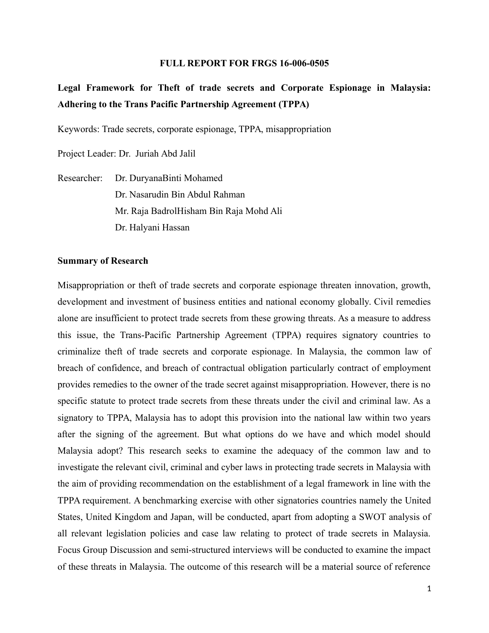#### **FULL REPORT FOR FRGS 16-006-0505**

**Legal Framework for Theft of trade secrets and Corporate Espionage in Malaysia: Adhering to the Trans Pacific Partnership Agreement (TPPA)**

Keywords: Trade secrets, corporate espionage, TPPA, misappropriation

Project Leader: Dr. Juriah Abd Jalil

Researcher: Dr. DuryanaBinti Mohamed Dr. Nasarudin Bin Abdul Rahman Mr. Raja BadrolHisham Bin Raja Mohd Ali Dr. Halyani Hassan

#### **Summary of Research**

Misappropriation or theft of trade secrets and corporate espionage threaten innovation, growth, development and investment of business entities and national economy globally. Civil remedies alone are insufficient to protect trade secrets from these growing threats. As a measure to address this issue, the Trans-Pacific Partnership Agreement (TPPA) requires signatory countries to criminalize theft of trade secrets and corporate espionage. In Malaysia, the common law of breach of confidence, and breach of contractual obligation particularly contract of employment provides remedies to the owner of the trade secret against misappropriation. However, there is no specific statute to protect trade secrets from these threats under the civil and criminal law. As a signatory to TPPA, Malaysia has to adopt this provision into the national law within two years after the signing of the agreement. But what options do we have and which model should Malaysia adopt? This research seeks to examine the adequacy of the common law and to investigate the relevant civil, criminal and cyber laws in protecting trade secrets in Malaysia with the aim of providing recommendation on the establishment of a legal framework in line with the TPPA requirement. A benchmarking exercise with other signatories countries namely the United States, United Kingdom and Japan, will be conducted, apart from adopting a SWOT analysis of all relevant legislation policies and case law relating to protect of trade secrets in Malaysia. Focus Group Discussion and semi-structured interviews will be conducted to examine the impact of these threats in Malaysia. The outcome of this research will be a material source of reference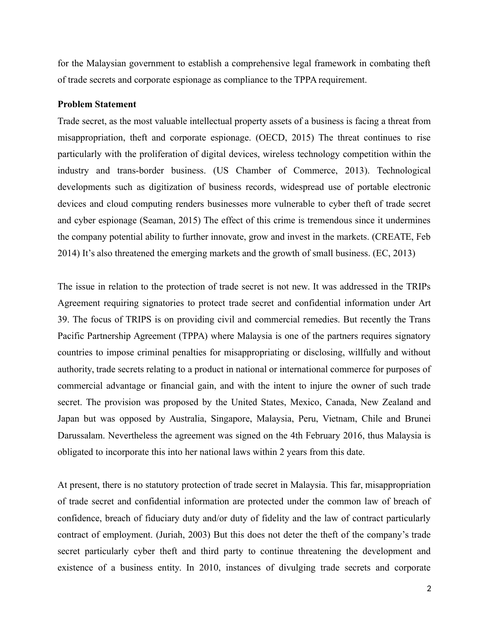for the Malaysian government to establish a comprehensive legal framework in combating theft of trade secrets and corporate espionage as compliance to the TPPA requirement.

#### **Problem Statement**

Trade secret, as the most valuable intellectual property assets of a business is facing a threat from misappropriation, theft and corporate espionage. (OECD, 2015) The threat continues to rise particularly with the proliferation of digital devices, wireless technology competition within the industry and trans-border business. (US Chamber of Commerce, 2013). Technological developments such as digitization of business records, widespread use of portable electronic devices and cloud computing renders businesses more vulnerable to cyber theft of trade secret and cyber espionage (Seaman, 2015) The effect of this crime is tremendous since it undermines the company potential ability to further innovate, grow and invest in the markets. (CREATE, Feb 2014) It's also threatened the emerging markets and the growth of small business. (EC, 2013)

The issue in relation to the protection of trade secret is not new. It was addressed in the TRIPs Agreement requiring signatories to protect trade secret and confidential information under Art 39. The focus of TRIPS is on providing civil and commercial remedies. But recently the Trans Pacific Partnership Agreement (TPPA) where Malaysia is one of the partners requires signatory countries to impose criminal penalties for misappropriating or disclosing, willfully and without authority, trade secrets relating to a product in national or international commerce for purposes of commercial advantage or financial gain, and with the intent to injure the owner of such trade secret. The provision was proposed by the United States, Mexico, Canada, New Zealand and Japan but was opposed by Australia, Singapore, Malaysia, Peru, Vietnam, Chile and Brunei Darussalam. Nevertheless the agreement was signed on the 4th February 2016, thus Malaysia is obligated to incorporate this into her national laws within 2 years from this date.

At present, there is no statutory protection of trade secret in Malaysia. This far, misappropriation of trade secret and confidential information are protected under the common law of breach of confidence, breach of fiduciary duty and/or duty of fidelity and the law of contract particularly contract of employment. (Juriah, 2003) But this does not deter the theft of the company's trade secret particularly cyber theft and third party to continue threatening the development and existence of a business entity. In 2010, instances of divulging trade secrets and corporate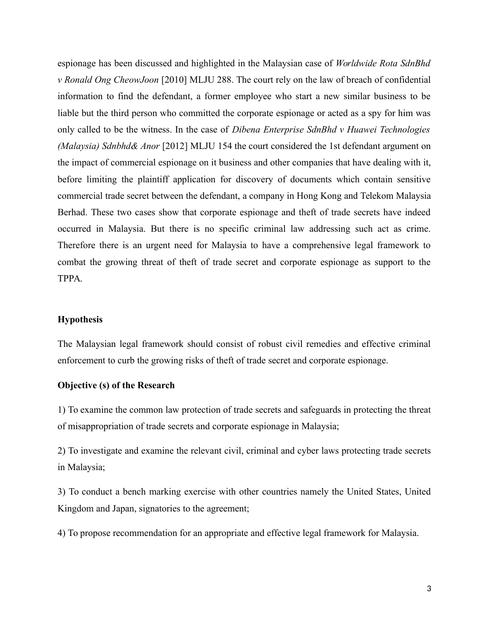espionage has been discussed and highlighted in the Malaysian case of *Worldwide Rota SdnBhd v Ronald Ong CheowJoon* [2010] MLJU 288. The court rely on the law of breach of confidential information to find the defendant, a former employee who start a new similar business to be liable but the third person who committed the corporate espionage or acted as a spy for him was only called to be the witness. In the case of *Dibena Enterprise SdnBhd v Huawei Technologies (Malaysia) Sdnbhd& Anor* [2012] MLJU 154 the court considered the 1st defendant argument on the impact of commercial espionage on it business and other companies that have dealing with it, before limiting the plaintiff application for discovery of documents which contain sensitive commercial trade secret between the defendant, a company in Hong Kong and Telekom Malaysia Berhad. These two cases show that corporate espionage and theft of trade secrets have indeed occurred in Malaysia. But there is no specific criminal law addressing such act as crime. Therefore there is an urgent need for Malaysia to have a comprehensive legal framework to combat the growing threat of theft of trade secret and corporate espionage as support to the TPPA.

# **Hypothesis**

The Malaysian legal framework should consist of robust civil remedies and effective criminal enforcement to curb the growing risks of theft of trade secret and corporate espionage.

# **Objective (s) of the Research**

1) To examine the common law protection of trade secrets and safeguards in protecting the threat of misappropriation of trade secrets and corporate espionage in Malaysia;

2) To investigate and examine the relevant civil, criminal and cyber laws protecting trade secrets in Malaysia;

3) To conduct a bench marking exercise with other countries namely the United States, United Kingdom and Japan, signatories to the agreement;

4) To propose recommendation for an appropriate and effective legal framework for Malaysia.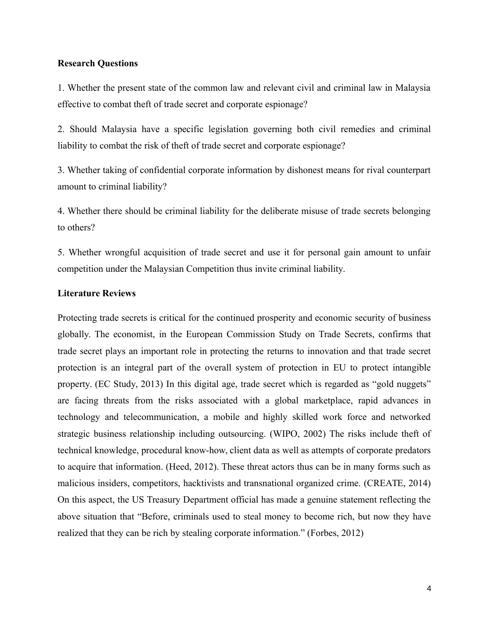# **Research Questions**

1. Whether the present state of the common law and relevant civil and criminal law in Malaysia effective to combat theft of trade secret and corporate espionage?

2. Should Malaysia have a specific legislation governing both civil remedies and criminal liability to combat the risk of theft of trade secret and corporate espionage?

3. Whether taking of confidential corporate information by dishonest means for rival counterpart amount to criminal liability?

4. Whether there should be criminal liability for the deliberate misuse of trade secrets belonging to others?

5. Whether wrongful acquisition of trade secret and use it for personal gain amount to unfair competition under the Malaysian Competition thus invite criminal liability.

# **Literature Reviews**

Protecting trade secrets is critical for the continued prosperity and economic security of business globally. The economist, in the European Commission Study on Trade Secrets, confirms that trade secret plays an important role in protecting the returns to innovation and that trade secret protection is an integral part of the overall system of protection in EU to protect intangible property. (EC Study, 2013) In this digital age, trade secret which is regarded as "gold nuggets" are facing threats from the risks associated with a global marketplace, rapid advances in technology and telecommunication, a mobile and highly skilled work force and networked strategic business relationship including outsourcing. (WIPO, 2002) The risks include theft of technical knowledge, procedural know-how, client data as well as attempts of corporate predators to acquire that information. (Heed, 2012). These threat actors thus can be in many forms such as malicious insiders, competitors, hacktivists and transnational organized crime. (CREATE, 2014) On this aspect, the US Treasury Department official has made a genuine statement reflecting the above situation that "Before, criminals used to steal money to become rich, but now they have realized that they can be rich by stealing corporate information." (Forbes, 2012)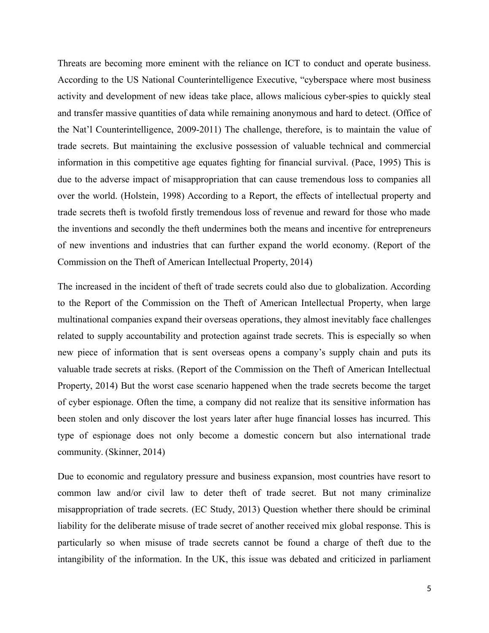Threats are becoming more eminent with the reliance on ICT to conduct and operate business. According to the US National Counterintelligence Executive, "cyberspace where most business activity and development of new ideas take place, allows malicious cyber-spies to quickly steal and transfer massive quantities of data while remaining anonymous and hard to detect. (Office of the Nat'l Counterintelligence, 2009-2011) The challenge, therefore, is to maintain the value of trade secrets. But maintaining the exclusive possession of valuable technical and commercial information in this competitive age equates fighting for financial survival. (Pace, 1995) This is due to the adverse impact of misappropriation that can cause tremendous loss to companies all over the world. (Holstein, 1998) According to a Report, the effects of intellectual property and trade secrets theft is twofold firstly tremendous loss of revenue and reward for those who made the inventions and secondly the theft undermines both the means and incentive for entrepreneurs of new inventions and industries that can further expand the world economy. (Report of the Commission on the Theft of American Intellectual Property, 2014)

The increased in the incident of theft of trade secrets could also due to globalization. According to the Report of the Commission on the Theft of American Intellectual Property, when large multinational companies expand their overseas operations, they almost inevitably face challenges related to supply accountability and protection against trade secrets. This is especially so when new piece of information that is sent overseas opens a company's supply chain and puts its valuable trade secrets at risks. (Report of the Commission on the Theft of American Intellectual Property, 2014) But the worst case scenario happened when the trade secrets become the target of cyber espionage. Often the time, a company did not realize that its sensitive information has been stolen and only discover the lost years later after huge financial losses has incurred. This type of espionage does not only become a domestic concern but also international trade community. (Skinner, 2014)

Due to economic and regulatory pressure and business expansion, most countries have resort to common law and/or civil law to deter theft of trade secret. But not many criminalize misappropriation of trade secrets. (EC Study, 2013) Question whether there should be criminal liability for the deliberate misuse of trade secret of another received mix global response. This is particularly so when misuse of trade secrets cannot be found a charge of theft due to the intangibility of the information. In the UK, this issue was debated and criticized in parliament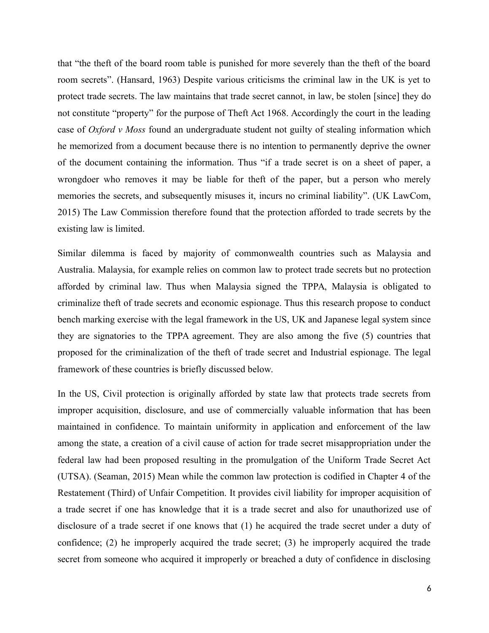that "the theft of the board room table is punished for more severely than the theft of the board room secrets". (Hansard, 1963) Despite various criticisms the criminal law in the UK is yet to protect trade secrets. The law maintains that trade secret cannot, in law, be stolen [since] they do not constitute "property" for the purpose of Theft Act 1968. Accordingly the court in the leading case of *Oxford v Moss* found an undergraduate student not guilty of stealing information which he memorized from a document because there is no intention to permanently deprive the owner of the document containing the information. Thus "if a trade secret is on a sheet of paper, a wrongdoer who removes it may be liable for theft of the paper, but a person who merely memories the secrets, and subsequently misuses it, incurs no criminal liability". (UK LawCom, 2015) The Law Commission therefore found that the protection afforded to trade secrets by the existing law is limited.

Similar dilemma is faced by majority of commonwealth countries such as Malaysia and Australia. Malaysia, for example relies on common law to protect trade secrets but no protection afforded by criminal law. Thus when Malaysia signed the TPPA, Malaysia is obligated to criminalize theft of trade secrets and economic espionage. Thus this research propose to conduct bench marking exercise with the legal framework in the US, UK and Japanese legal system since they are signatories to the TPPA agreement. They are also among the five (5) countries that proposed for the criminalization of the theft of trade secret and Industrial espionage. The legal framework of these countries is briefly discussed below.

In the US, Civil protection is originally afforded by state law that protects trade secrets from improper acquisition, disclosure, and use of commercially valuable information that has been maintained in confidence. To maintain uniformity in application and enforcement of the law among the state, a creation of a civil cause of action for trade secret misappropriation under the federal law had been proposed resulting in the promulgation of the Uniform Trade Secret Act (UTSA). (Seaman, 2015) Mean while the common law protection is codified in Chapter 4 of the Restatement (Third) of Unfair Competition. It provides civil liability for improper acquisition of a trade secret if one has knowledge that it is a trade secret and also for unauthorized use of disclosure of a trade secret if one knows that (1) he acquired the trade secret under a duty of confidence; (2) he improperly acquired the trade secret; (3) he improperly acquired the trade secret from someone who acquired it improperly or breached a duty of confidence in disclosing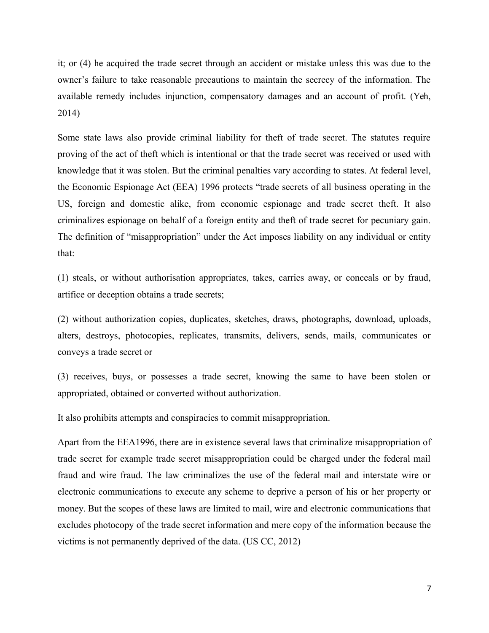it; or (4) he acquired the trade secret through an accident or mistake unless this was due to the owner's failure to take reasonable precautions to maintain the secrecy of the information. The available remedy includes injunction, compensatory damages and an account of profit. (Yeh, 2014)

Some state laws also provide criminal liability for theft of trade secret. The statutes require proving of the act of theft which is intentional or that the trade secret was received or used with knowledge that it was stolen. But the criminal penalties vary according to states. At federal level, the Economic Espionage Act (EEA) 1996 protects "trade secrets of all business operating in the US, foreign and domestic alike, from economic espionage and trade secret theft. It also criminalizes espionage on behalf of a foreign entity and theft of trade secret for pecuniary gain. The definition of "misappropriation" under the Act imposes liability on any individual or entity that:

(1) steals, or without authorisation appropriates, takes, carries away, or conceals or by fraud, artifice or deception obtains a trade secrets;

(2) without authorization copies, duplicates, sketches, draws, photographs, download, uploads, alters, destroys, photocopies, replicates, transmits, delivers, sends, mails, communicates or conveys a trade secret or

(3) receives, buys, or possesses a trade secret, knowing the same to have been stolen or appropriated, obtained or converted without authorization.

It also prohibits attempts and conspiracies to commit misappropriation.

Apart from the EEA1996, there are in existence several laws that criminalize misappropriation of trade secret for example trade secret misappropriation could be charged under the federal mail fraud and wire fraud. The law criminalizes the use of the federal mail and interstate wire or electronic communications to execute any scheme to deprive a person of his or her property or money. But the scopes of these laws are limited to mail, wire and electronic communications that excludes photocopy of the trade secret information and mere copy of the information because the victims is not permanently deprived of the data. (US CC, 2012)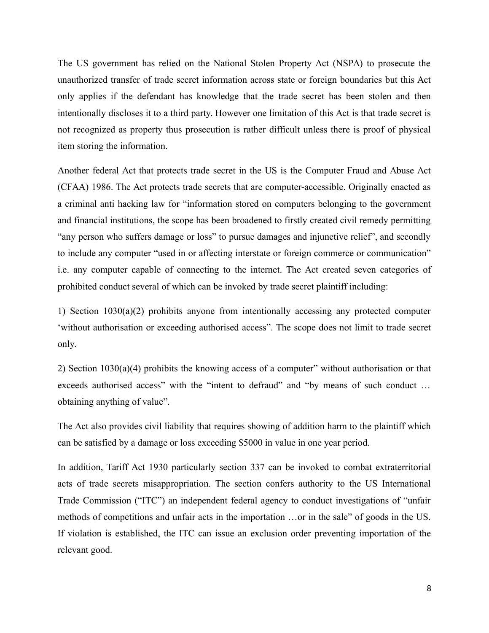The US government has relied on the National Stolen Property Act (NSPA) to prosecute the unauthorized transfer of trade secret information across state or foreign boundaries but this Act only applies if the defendant has knowledge that the trade secret has been stolen and then intentionally discloses it to a third party. However one limitation of this Act is that trade secret is not recognized as property thus prosecution is rather difficult unless there is proof of physical item storing the information.

Another federal Act that protects trade secret in the US is the Computer Fraud and Abuse Act (CFAA) 1986. The Act protects trade secrets that are computer-accessible. Originally enacted as a criminal anti hacking law for "information stored on computers belonging to the government and financial institutions, the scope has been broadened to firstly created civil remedy permitting "any person who suffers damage or loss" to pursue damages and injunctive relief", and secondly to include any computer "used in or affecting interstate or foreign commerce or communication" i.e. any computer capable of connecting to the internet. The Act created seven categories of prohibited conduct several of which can be invoked by trade secret plaintiff including:

1) Section 1030(a)(2) prohibits anyone from intentionally accessing any protected computer 'without authorisation or exceeding authorised access". The scope does not limit to trade secret only.

2) Section 1030(a)(4) prohibits the knowing access of a computer" without authorisation or that exceeds authorised access" with the "intent to defraud" and "by means of such conduct … obtaining anything of value".

The Act also provides civil liability that requires showing of addition harm to the plaintiff which can be satisfied by a damage or loss exceeding \$5000 in value in one year period.

In addition, Tariff Act 1930 particularly section 337 can be invoked to combat extraterritorial acts of trade secrets misappropriation. The section confers authority to the US International Trade Commission ("ITC") an independent federal agency to conduct investigations of "unfair methods of competitions and unfair acts in the importation …or in the sale" of goods in the US. If violation is established, the ITC can issue an exclusion order preventing importation of the relevant good.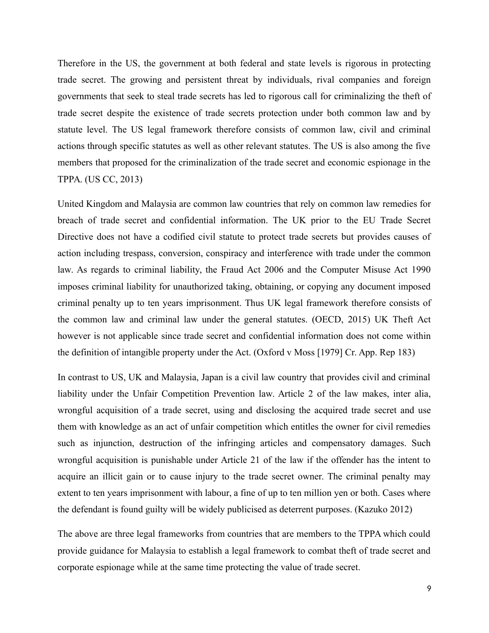Therefore in the US, the government at both federal and state levels is rigorous in protecting trade secret. The growing and persistent threat by individuals, rival companies and foreign governments that seek to steal trade secrets has led to rigorous call for criminalizing the theft of trade secret despite the existence of trade secrets protection under both common law and by statute level. The US legal framework therefore consists of common law, civil and criminal actions through specific statutes as well as other relevant statutes. The US is also among the five members that proposed for the criminalization of the trade secret and economic espionage in the TPPA. (US CC, 2013)

United Kingdom and Malaysia are common law countries that rely on common law remedies for breach of trade secret and confidential information. The UK prior to the EU Trade Secret Directive does not have a codified civil statute to protect trade secrets but provides causes of action including trespass, conversion, conspiracy and interference with trade under the common law. As regards to criminal liability, the Fraud Act 2006 and the Computer Misuse Act 1990 imposes criminal liability for unauthorized taking, obtaining, or copying any document imposed criminal penalty up to ten years imprisonment. Thus UK legal framework therefore consists of the common law and criminal law under the general statutes. (OECD, 2015) UK Theft Act however is not applicable since trade secret and confidential information does not come within the definition of intangible property under the Act. (Oxford v Moss [1979] Cr. App. Rep 183)

In contrast to US, UK and Malaysia, Japan is a civil law country that provides civil and criminal liability under the Unfair Competition Prevention law. Article 2 of the law makes, inter alia, wrongful acquisition of a trade secret, using and disclosing the acquired trade secret and use them with knowledge as an act of unfair competition which entitles the owner for civil remedies such as injunction, destruction of the infringing articles and compensatory damages. Such wrongful acquisition is punishable under Article 21 of the law if the offender has the intent to acquire an illicit gain or to cause injury to the trade secret owner. The criminal penalty may extent to ten years imprisonment with labour, a fine of up to ten million yen or both. Cases where the defendant is found guilty will be widely publicised as deterrent purposes. (Kazuko 2012)

The above are three legal frameworks from countries that are members to the TPPA which could provide guidance for Malaysia to establish a legal framework to combat theft of trade secret and corporate espionage while at the same time protecting the value of trade secret.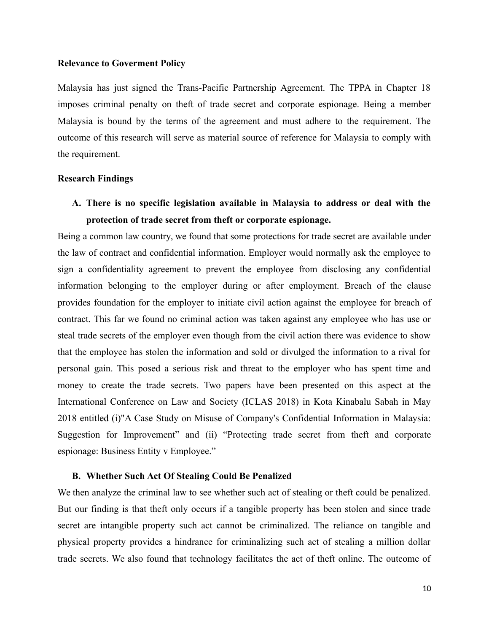# **Relevance to Goverment Policy**

Malaysia has just signed the Trans-Pacific Partnership Agreement. The TPPA in Chapter 18 imposes criminal penalty on theft of trade secret and corporate espionage. Being a member Malaysia is bound by the terms of the agreement and must adhere to the requirement. The outcome of this research will serve as material source of reference for Malaysia to comply with the requirement.

## **Research Findings**

**A. There is no specific legislation available in Malaysia to address or deal with the protection of trade secret from theft or corporate espionage.** 

Being a common law country, we found that some protections for trade secret are available under the law of contract and confidential information. Employer would normally ask the employee to sign a confidentiality agreement to prevent the employee from disclosing any confidential information belonging to the employer during or after employment. Breach of the clause provides foundation for the employer to initiate civil action against the employee for breach of contract. This far we found no criminal action was taken against any employee who has use or steal trade secrets of the employer even though from the civil action there was evidence to show that the employee has stolen the information and sold or divulged the information to a rival for personal gain. This posed a serious risk and threat to the employer who has spent time and money to create the trade secrets. Two papers have been presented on this aspect at the International Conference on Law and Society (ICLAS 2018) in Kota Kinabalu Sabah in May 2018 entitled (i)"A Case Study on Misuse of Company's Confidential Information in Malaysia: Suggestion for Improvement" and (ii) "Protecting trade secret from theft and corporate espionage: Business Entity v Employee."

#### **B. Whether Such Act Of Stealing Could Be Penalized**

We then analyze the criminal law to see whether such act of stealing or theft could be penalized. But our finding is that theft only occurs if a tangible property has been stolen and since trade secret are intangible property such act cannot be criminalized. The reliance on tangible and physical property provides a hindrance for criminalizing such act of stealing a million dollar trade secrets. We also found that technology facilitates the act of theft online. The outcome of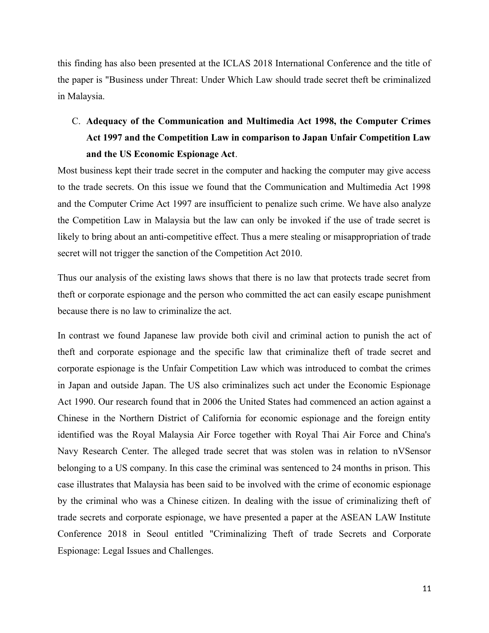this finding has also been presented at the ICLAS 2018 International Conference and the title of the paper is "Business under Threat: Under Which Law should trade secret theft be criminalized in Malaysia.

# C. **Adequacy of the Communication and Multimedia Act 1998, the Computer Crimes Act 1997 and the Competition Law in comparison to Japan Unfair Competition Law and the US Economic Espionage Act**.

Most business kept their trade secret in the computer and hacking the computer may give access to the trade secrets. On this issue we found that the Communication and Multimedia Act 1998 and the Computer Crime Act 1997 are insufficient to penalize such crime. We have also analyze the Competition Law in Malaysia but the law can only be invoked if the use of trade secret is likely to bring about an anti-competitive effect. Thus a mere stealing or misappropriation of trade secret will not trigger the sanction of the Competition Act 2010.

Thus our analysis of the existing laws shows that there is no law that protects trade secret from theft or corporate espionage and the person who committed the act can easily escape punishment because there is no law to criminalize the act.

In contrast we found Japanese law provide both civil and criminal action to punish the act of theft and corporate espionage and the specific law that criminalize theft of trade secret and corporate espionage is the Unfair Competition Law which was introduced to combat the crimes in Japan and outside Japan. The US also criminalizes such act under the Economic Espionage Act 1990. Our research found that in 2006 the United States had commenced an action against a Chinese in the Northern District of California for economic espionage and the foreign entity identified was the Royal Malaysia Air Force together with Royal Thai Air Force and China's Navy Research Center. The alleged trade secret that was stolen was in relation to nVSensor belonging to a US company. In this case the criminal was sentenced to 24 months in prison. This case illustrates that Malaysia has been said to be involved with the crime of economic espionage by the criminal who was a Chinese citizen. In dealing with the issue of criminalizing theft of trade secrets and corporate espionage, we have presented a paper at the ASEAN LAW Institute Conference 2018 in Seoul entitled "Criminalizing Theft of trade Secrets and Corporate Espionage: Legal Issues and Challenges.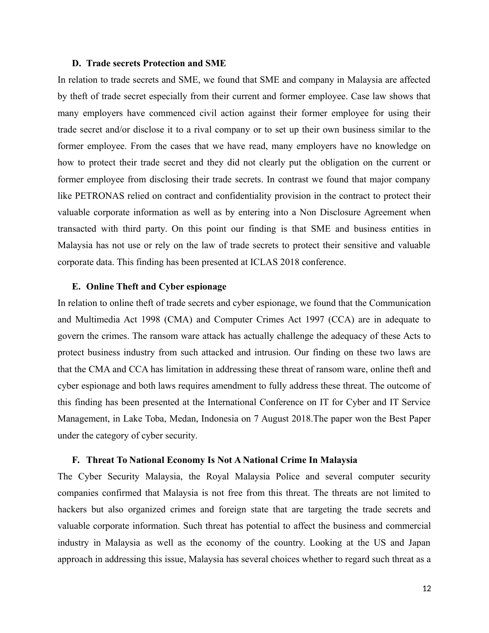## **D. Trade secrets Protection and SME**

In relation to trade secrets and SME, we found that SME and company in Malaysia are affected by theft of trade secret especially from their current and former employee. Case law shows that many employers have commenced civil action against their former employee for using their trade secret and/or disclose it to a rival company or to set up their own business similar to the former employee. From the cases that we have read, many employers have no knowledge on how to protect their trade secret and they did not clearly put the obligation on the current or former employee from disclosing their trade secrets. In contrast we found that major company like PETRONAS relied on contract and confidentiality provision in the contract to protect their valuable corporate information as well as by entering into a Non Disclosure Agreement when transacted with third party. On this point our finding is that SME and business entities in Malaysia has not use or rely on the law of trade secrets to protect their sensitive and valuable corporate data. This finding has been presented at ICLAS 2018 conference.

#### **E. Online Theft and Cyber espionage**

In relation to online theft of trade secrets and cyber espionage, we found that the Communication and Multimedia Act 1998 (CMA) and Computer Crimes Act 1997 (CCA) are in adequate to govern the crimes. The ransom ware attack has actually challenge the adequacy of these Acts to protect business industry from such attacked and intrusion. Our finding on these two laws are that the CMA and CCA has limitation in addressing these threat of ransom ware, online theft and cyber espionage and both laws requires amendment to fully address these threat. The outcome of this finding has been presented at the International Conference on IT for Cyber and IT Service Management, in Lake Toba, Medan, Indonesia on 7 August 2018.The paper won the Best Paper under the category of cyber security.

#### **F. Threat To National Economy Is Not A National Crime In Malaysia**

The Cyber Security Malaysia, the Royal Malaysia Police and several computer security companies confirmed that Malaysia is not free from this threat. The threats are not limited to hackers but also organized crimes and foreign state that are targeting the trade secrets and valuable corporate information. Such threat has potential to affect the business and commercial industry in Malaysia as well as the economy of the country. Looking at the US and Japan approach in addressing this issue, Malaysia has several choices whether to regard such threat as a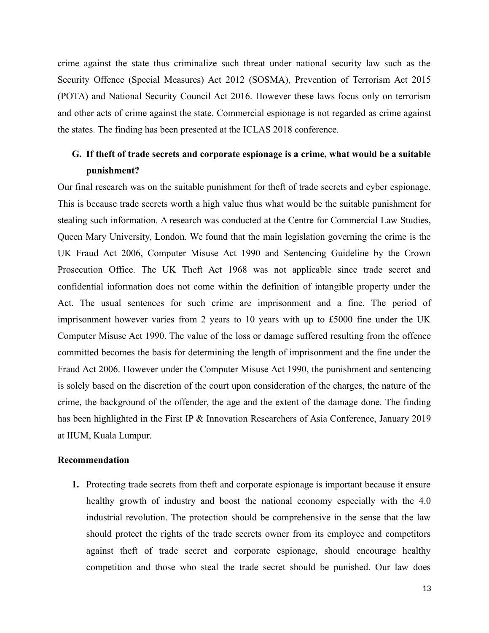crime against the state thus criminalize such threat under national security law such as the Security Offence (Special Measures) Act 2012 (SOSMA), Prevention of Terrorism Act 2015 (POTA) and National Security Council Act 2016. However these laws focus only on terrorism and other acts of crime against the state. Commercial espionage is not regarded as crime against the states. The finding has been presented at the ICLAS 2018 conference.

# **G. If theft of trade secrets and corporate espionage is a crime, what would be a suitable punishment?**

Our final research was on the suitable punishment for theft of trade secrets and cyber espionage. This is because trade secrets worth a high value thus what would be the suitable punishment for stealing such information. A research was conducted at the Centre for Commercial Law Studies, Queen Mary University, London. We found that the main legislation governing the crime is the UK Fraud Act 2006, Computer Misuse Act 1990 and Sentencing Guideline by the Crown Prosecution Office. The UK Theft Act 1968 was not applicable since trade secret and confidential information does not come within the definition of intangible property under the Act. The usual sentences for such crime are imprisonment and a fine. The period of imprisonment however varies from 2 years to 10 years with up to £5000 fine under the UK Computer Misuse Act 1990. The value of the loss or damage suffered resulting from the offence committed becomes the basis for determining the length of imprisonment and the fine under the Fraud Act 2006. However under the Computer Misuse Act 1990, the punishment and sentencing is solely based on the discretion of the court upon consideration of the charges, the nature of the crime, the background of the offender, the age and the extent of the damage done. The finding has been highlighted in the First IP & Innovation Researchers of Asia Conference, January 2019 at IIUM, Kuala Lumpur.

## **Recommendation**

**1.** Protecting trade secrets from theft and corporate espionage is important because it ensure healthy growth of industry and boost the national economy especially with the 4.0 industrial revolution. The protection should be comprehensive in the sense that the law should protect the rights of the trade secrets owner from its employee and competitors against theft of trade secret and corporate espionage, should encourage healthy competition and those who steal the trade secret should be punished. Our law does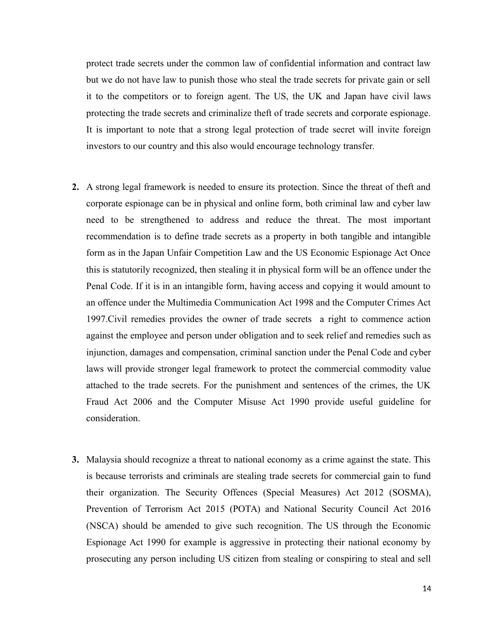protect trade secrets under the common law of confidential information and contract law but we do not have law to punish those who steal the trade secrets for private gain or sell it to the competitors or to foreign agent. The US, the UK and Japan have civil laws protecting the trade secrets and criminalize theft of trade secrets and corporate espionage. It is important to note that a strong legal protection of trade secret will invite foreign investors to our country and this also would encourage technology transfer.

- **2.** A strong legal framework is needed to ensure its protection. Since the threat of theft and corporate espionage can be in physical and online form, both criminal law and cyber law need to be strengthened to address and reduce the threat. The most important recommendation is to define trade secrets as a property in both tangible and intangible form as in the Japan Unfair Competition Law and the US Economic Espionage Act Once this is statutorily recognized, then stealing it in physical form will be an offence under the Penal Code. If it is in an intangible form, having access and copying it would amount to an offence under the Multimedia Communication Act 1998 and the Computer Crimes Act 1997.Civil remedies provides the owner of trade secrets a right to commence action against the employee and person under obligation and to seek relief and remedies such as injunction, damages and compensation, criminal sanction under the Penal Code and cyber laws will provide stronger legal framework to protect the commercial commodity value attached to the trade secrets. For the punishment and sentences of the crimes, the UK Fraud Act 2006 and the Computer Misuse Act 1990 provide useful guideline for consideration.
- **3.** Malaysia should recognize a threat to national economy as a crime against the state. This is because terrorists and criminals are stealing trade secrets for commercial gain to fund their organization. The Security Offences (Special Measures) Act 2012 (SOSMA), Prevention of Terrorism Act 2015 (POTA) and National Security Council Act 2016 (NSCA) should be amended to give such recognition. The US through the Economic Espionage Act 1990 for example is aggressive in protecting their national economy by prosecuting any person including US citizen from stealing or conspiring to steal and sell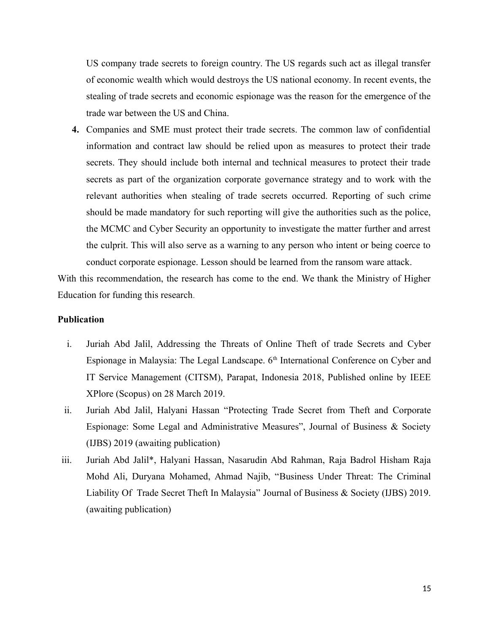US company trade secrets to foreign country. The US regards such act as illegal transfer of economic wealth which would destroys the US national economy. In recent events, the stealing of trade secrets and economic espionage was the reason for the emergence of the trade war between the US and China.

**4.** Companies and SME must protect their trade secrets. The common law of confidential information and contract law should be relied upon as measures to protect their trade secrets. They should include both internal and technical measures to protect their trade secrets as part of the organization corporate governance strategy and to work with the relevant authorities when stealing of trade secrets occurred. Reporting of such crime should be made mandatory for such reporting will give the authorities such as the police, the MCMC and Cyber Security an opportunity to investigate the matter further and arrest the culprit. This will also serve as a warning to any person who intent or being coerce to conduct corporate espionage. Lesson should be learned from the ransom ware attack.

With this recommendation, the research has come to the end. We thank the Ministry of Higher Education for funding this research.

# **Publication**

- i. Juriah Abd Jalil, Addressing the Threats of Online Theft of trade Secrets and Cyber Espionage in Malaysia: The Legal Landscape.  $6<sup>th</sup>$  International Conference on Cyber and IT Service Management (CITSM), Parapat, Indonesia 2018, Published online by IEEE XPlore (Scopus) on 28 March 2019.
- ii. Juriah Abd Jalil, Halyani Hassan "Protecting Trade Secret from Theft and Corporate Espionage: Some Legal and Administrative Measures", Journal of Business & Society (IJBS) 2019 (awaiting publication)
- iii. Juriah Abd Jalil\*, Halyani Hassan, Nasarudin Abd Rahman, Raja Badrol Hisham Raja Mohd Ali, Duryana Mohamed, Ahmad Najib, "Business Under Threat: The Criminal Liability Of Trade Secret Theft In Malaysia" Journal of Business & Society (IJBS) 2019. (awaiting publication)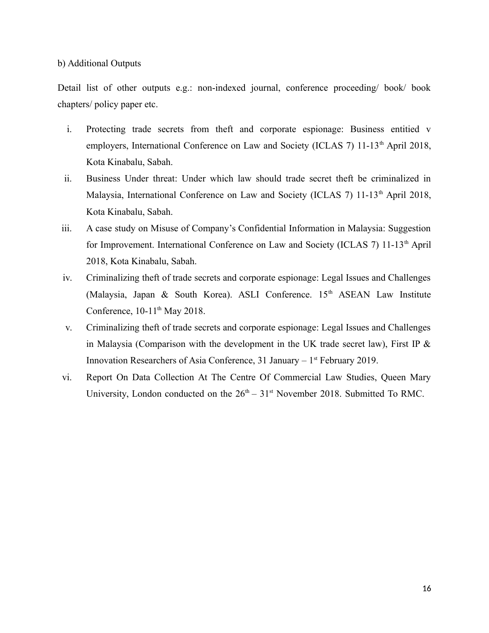# b) Additional Outputs

Detail list of other outputs e.g.: non-indexed journal, conference proceeding/ book/ book chapters/ policy paper etc.

- i. Protecting trade secrets from theft and corporate espionage: Business entitied v employers, International Conference on Law and Society (ICLAS 7) 11-13<sup>th</sup> April 2018, Kota Kinabalu, Sabah.
- ii. Business Under threat: Under which law should trade secret theft be criminalized in Malaysia, International Conference on Law and Society (ICLAS 7) 11-13<sup>th</sup> April 2018, Kota Kinabalu, Sabah.
- iii. A case study on Misuse of Company's Confidential Information in Malaysia: Suggestion for Improvement. International Conference on Law and Society (ICLAS 7) 11-13<sup>th</sup> April 2018, Kota Kinabalu, Sabah.
- iv. Criminalizing theft of trade secrets and corporate espionage: Legal Issues and Challenges (Malaysia, Japan & South Korea). ASLI Conference.  $15<sup>th</sup>$  ASEAN Law Institute Conference,  $10-11^{th}$  May 2018.
- v. Criminalizing theft of trade secrets and corporate espionage: Legal Issues and Challenges in Malaysia (Comparison with the development in the UK trade secret law), First IP  $\&$ Innovation Researchers of Asia Conference, 31 January  $-1$ <sup>st</sup> February 2019.
- vi. Report On Data Collection At The Centre Of Commercial Law Studies, Queen Mary University, London conducted on the  $26<sup>th</sup> - 31<sup>st</sup>$  November 2018. Submitted To RMC.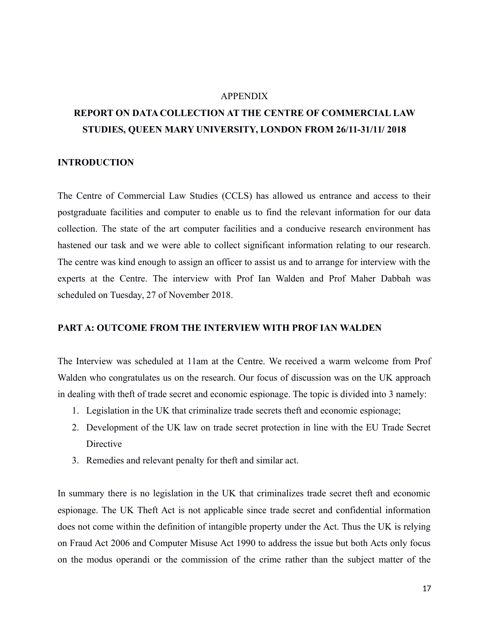#### APPENDIX

# **REPORT ON DATA COLLECTION AT THE CENTRE OF COMMERCIAL LAW STUDIES, QUEEN MARY UNIVERSITY, LONDON FROM 26/11-31/11/ 2018**

# **INTRODUCTION**

The Centre of Commercial Law Studies (CCLS) has allowed us entrance and access to their postgraduate facilities and computer to enable us to find the relevant information for our data collection. The state of the art computer facilities and a conducive research environment has hastened our task and we were able to collect significant information relating to our research. The centre was kind enough to assign an officer to assist us and to arrange for interview with the experts at the Centre. The interview with Prof Ian Walden and Prof Maher Dabbah was scheduled on Tuesday, 27 of November 2018.

#### **PART A: OUTCOME FROM THE INTERVIEW WITH PROF IAN WALDEN**

The Interview was scheduled at 11am at the Centre. We received a warm welcome from Prof Walden who congratulates us on the research. Our focus of discussion was on the UK approach in dealing with theft of trade secret and economic espionage. The topic is divided into 3 namely:

- 1. Legislation in the UK that criminalize trade secrets theft and economic espionage;
- 2. Development of the UK law on trade secret protection in line with the EU Trade Secret Directive
- 3. Remedies and relevant penalty for theft and similar act.

In summary there is no legislation in the UK that criminalizes trade secret theft and economic espionage. The UK Theft Act is not applicable since trade secret and confidential information does not come within the definition of intangible property under the Act. Thus the UK is relying on Fraud Act 2006 and Computer Misuse Act 1990 to address the issue but both Acts only focus on the modus operandi or the commission of the crime rather than the subject matter of the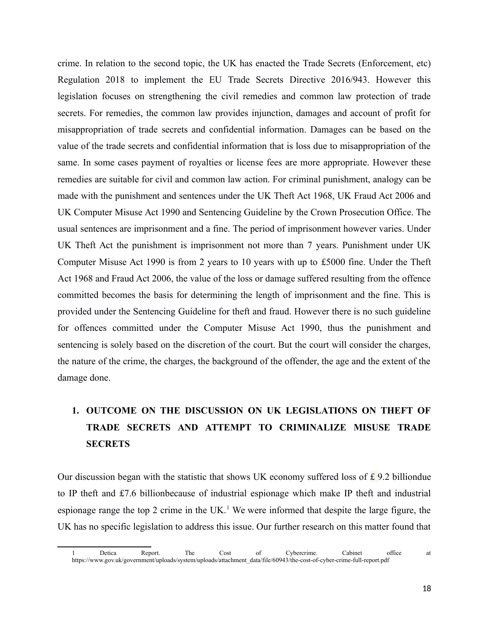crime. In relation to the second topic, the UK has enacted the Trade Secrets (Enforcement, etc) Regulation 2018 to implement the EU Trade Secrets Directive 2016/943. However this legislation focuses on strengthening the civil remedies and common law protection of trade secrets. For remedies, the common law provides injunction, damages and account of profit for misappropriation of trade secrets and confidential information. Damages can be based on the value of the trade secrets and confidential information that is loss due to misappropriation of the same. In some cases payment of royalties or license fees are more appropriate. However these remedies are suitable for civil and common law action. For criminal punishment, analogy can be made with the punishment and sentences under the UK Theft Act 1968, UK Fraud Act 2006 and UK Computer Misuse Act 1990 and Sentencing Guideline by the Crown Prosecution Office. The usual sentences are imprisonment and a fine. The period of imprisonment however varies. Under UK Theft Act the punishment is imprisonment not more than 7 years. Punishment under UK Computer Misuse Act 1990 is from 2 years to 10 years with up to £5000 fine. Under the Theft Act 1968 and Fraud Act 2006, the value of the loss or damage suffered resulting from the offence committed becomes the basis for determining the length of imprisonment and the fine. This is provided under the Sentencing Guideline for theft and fraud. However there is no such guideline for offences committed under the Computer Misuse Act 1990, thus the punishment and sentencing is solely based on the discretion of the court. But the court will consider the charges, the nature of the crime, the charges, the background of the offender, the age and the extent of the damage done.

# **1. OUTCOME ON THE DISCUSSION ON UK LEGISLATIONS ON THEFT OF TRADE SECRETS AND ATTEMPT TO CRIMINALIZE MISUSE TRADE SECRETS**

Our discussion began with the statistic that shows UK economy suffered loss of £ 9.2 billiondue to IP theft and £7.6 billionbecause of industrial espionage which make IP theft and industrial espionage range the top 2 crime in the UK.<sup>[1](#page-17-0)</sup> We were informed that despite the large figure, the UK has no specific legislation to address this issue. Our further research on this matter found that

<span id="page-17-0"></span><sup>1</sup> Detica Report. The Cost of Cybercrime. Cabinet office at https://www.gov.uk/government/uploads/system/uploads/attachment\_data/file/60943/the-cost-of-cyber-crime-full-report.pdf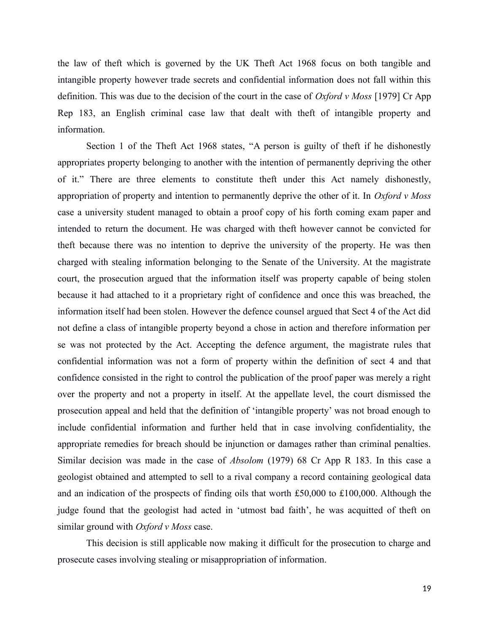the law of theft which is governed by the UK Theft Act 1968 focus on both tangible and intangible property however trade secrets and confidential information does not fall within this definition. This was due to the decision of the court in the case of *Oxford v Moss* [1979] Cr App Rep 183, an English criminal case law that dealt with theft of intangible property and information.

Section 1 of the Theft Act 1968 states, "A person is guilty of theft if he dishonestly appropriates property belonging to another with the intention of permanently depriving the other of it." There are three elements to constitute theft under this Act namely dishonestly, appropriation of property and intention to permanently deprive the other of it. In *Oxford v Moss* case a university student managed to obtain a proof copy of his forth coming exam paper and intended to return the document. He was charged with theft however cannot be convicted for theft because there was no intention to deprive the university of the property. He was then charged with stealing information belonging to the Senate of the University. At the magistrate court, the prosecution argued that the information itself was property capable of being stolen because it had attached to it a proprietary right of confidence and once this was breached, the information itself had been stolen. However the defence counsel argued that Sect 4 of the Act did not define a class of intangible property beyond a chose in action and therefore information per se was not protected by the Act. Accepting the defence argument, the magistrate rules that confidential information was not a form of property within the definition of sect 4 and that confidence consisted in the right to control the publication of the proof paper was merely a right over the property and not a property in itself. At the appellate level, the court dismissed the prosecution appeal and held that the definition of 'intangible property' was not broad enough to include confidential information and further held that in case involving confidentiality, the appropriate remedies for breach should be injunction or damages rather than criminal penalties. Similar decision was made in the case of *Absolom* (1979) 68 Cr App R 183. In this case a geologist obtained and attempted to sell to a rival company a record containing geological data and an indication of the prospects of finding oils that worth  $\pounds 50,000$  to  $\pounds 100,000$ . Although the judge found that the geologist had acted in 'utmost bad faith', he was acquitted of theft on similar ground with *Oxford v Moss* case.

This decision is still applicable now making it difficult for the prosecution to charge and prosecute cases involving stealing or misappropriation of information.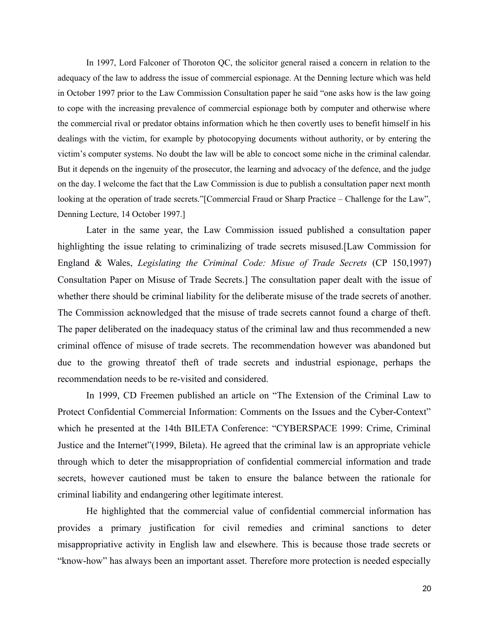In 1997, Lord Falconer of Thoroton QC, the solicitor general raised a concern in relation to the adequacy of the law to address the issue of commercial espionage. At the Denning lecture which was held in October 1997 prior to the Law Commission Consultation paper he said "one asks how is the law going to cope with the increasing prevalence of commercial espionage both by computer and otherwise where the commercial rival or predator obtains information which he then covertly uses to benefit himself in his dealings with the victim, for example by photocopying documents without authority, or by entering the victim's computer systems. No doubt the law will be able to concoct some niche in the criminal calendar. But it depends on the ingenuity of the prosecutor, the learning and advocacy of the defence, and the judge on the day. I welcome the fact that the Law Commission is due to publish a consultation paper next month looking at the operation of trade secrets."[Commercial Fraud or Sharp Practice – Challenge for the Law", Denning Lecture, 14 October 1997.]

Later in the same year, the Law Commission issued published a consultation paper highlighting the issue relating to criminalizing of trade secrets misused.[Law Commission for England & Wales, *Legislating the Criminal Code: Misue of Trade Secrets* (CP 150,1997) Consultation Paper on Misuse of Trade Secrets.] The consultation paper dealt with the issue of whether there should be criminal liability for the deliberate misuse of the trade secrets of another. The Commission acknowledged that the misuse of trade secrets cannot found a charge of theft. The paper deliberated on the inadequacy status of the criminal law and thus recommended a new criminal offence of misuse of trade secrets. The recommendation however was abandoned but due to the growing threatof theft of trade secrets and industrial espionage, perhaps the recommendation needs to be re-visited and considered.

In 1999, CD Freemen published an article on "The Extension of the Criminal Law to Protect Confidential Commercial Information: Comments on the Issues and the Cyber-Context" which he presented at the 14th BILETA Conference: "CYBERSPACE 1999: Crime, Criminal Justice and the Internet"(1999, Bileta). He agreed that the criminal law is an appropriate vehicle through which to deter the misappropriation of confidential commercial information and trade secrets, however cautioned must be taken to ensure the balance between the rationale for criminal liability and endangering other legitimate interest.

He highlighted that the commercial value of confidential commercial information has provides a primary justification for civil remedies and criminal sanctions to deter misappropriative activity in English law and elsewhere. This is because those trade secrets or "know-how" has always been an important asset. Therefore more protection is needed especially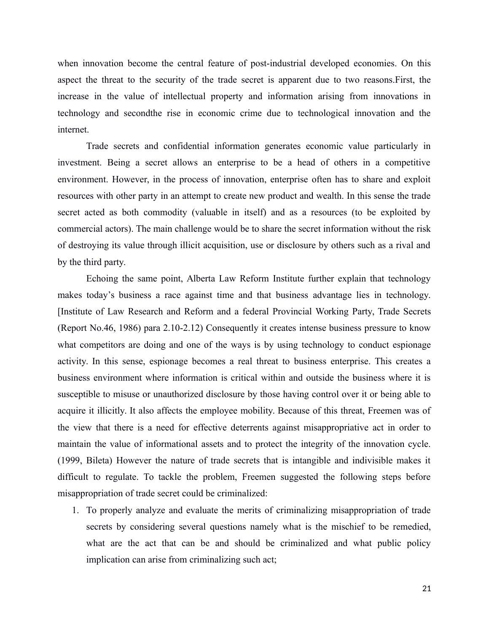when innovation become the central feature of post-industrial developed economies. On this aspect the threat to the security of the trade secret is apparent due to two reasons.First, the increase in the value of intellectual property and information arising from innovations in technology and secondthe rise in economic crime due to technological innovation and the internet.

Trade secrets and confidential information generates economic value particularly in investment. Being a secret allows an enterprise to be a head of others in a competitive environment. However, in the process of innovation, enterprise often has to share and exploit resources with other party in an attempt to create new product and wealth. In this sense the trade secret acted as both commodity (valuable in itself) and as a resources (to be exploited by commercial actors). The main challenge would be to share the secret information without the risk of destroying its value through illicit acquisition, use or disclosure by others such as a rival and by the third party.

Echoing the same point, Alberta Law Reform Institute further explain that technology makes today's business a race against time and that business advantage lies in technology. [Institute of Law Research and Reform and a federal Provincial Working Party, Trade Secrets (Report No.46, 1986) para 2.10-2.12) Consequently it creates intense business pressure to know what competitors are doing and one of the ways is by using technology to conduct espionage activity. In this sense, espionage becomes a real threat to business enterprise. This creates a business environment where information is critical within and outside the business where it is susceptible to misuse or unauthorized disclosure by those having control over it or being able to acquire it illicitly. It also affects the employee mobility. Because of this threat, Freemen was of the view that there is a need for effective deterrents against misappropriative act in order to maintain the value of informational assets and to protect the integrity of the innovation cycle. (1999, Bileta) However the nature of trade secrets that is intangible and indivisible makes it difficult to regulate. To tackle the problem, Freemen suggested the following steps before misappropriation of trade secret could be criminalized:

1. To properly analyze and evaluate the merits of criminalizing misappropriation of trade secrets by considering several questions namely what is the mischief to be remedied, what are the act that can be and should be criminalized and what public policy implication can arise from criminalizing such act;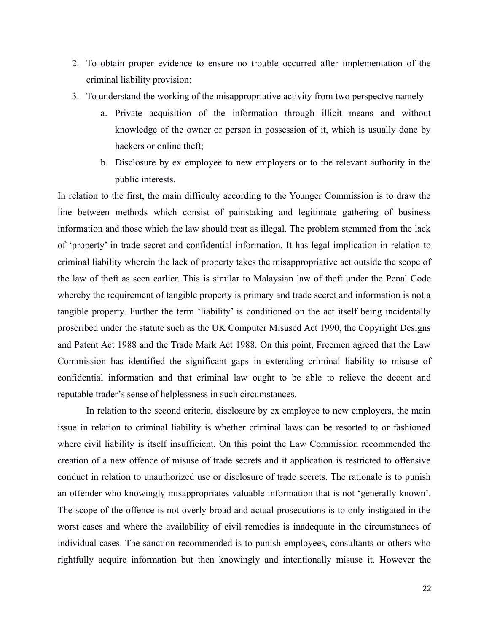- 2. To obtain proper evidence to ensure no trouble occurred after implementation of the criminal liability provision;
- 3. To understand the working of the misappropriative activity from two perspectve namely
	- a. Private acquisition of the information through illicit means and without knowledge of the owner or person in possession of it, which is usually done by hackers or online theft;
	- b. Disclosure by ex employee to new employers or to the relevant authority in the public interests.

In relation to the first, the main difficulty according to the Younger Commission is to draw the line between methods which consist of painstaking and legitimate gathering of business information and those which the law should treat as illegal. The problem stemmed from the lack of 'property' in trade secret and confidential information. It has legal implication in relation to criminal liability wherein the lack of property takes the misappropriative act outside the scope of the law of theft as seen earlier. This is similar to Malaysian law of theft under the Penal Code whereby the requirement of tangible property is primary and trade secret and information is not a tangible property. Further the term 'liability' is conditioned on the act itself being incidentally proscribed under the statute such as the UK Computer Misused Act 1990, the Copyright Designs and Patent Act 1988 and the Trade Mark Act 1988. On this point, Freemen agreed that the Law Commission has identified the significant gaps in extending criminal liability to misuse of confidential information and that criminal law ought to be able to relieve the decent and reputable trader's sense of helplessness in such circumstances.

In relation to the second criteria, disclosure by ex employee to new employers, the main issue in relation to criminal liability is whether criminal laws can be resorted to or fashioned where civil liability is itself insufficient. On this point the Law Commission recommended the creation of a new offence of misuse of trade secrets and it application is restricted to offensive conduct in relation to unauthorized use or disclosure of trade secrets. The rationale is to punish an offender who knowingly misappropriates valuable information that is not 'generally known'. The scope of the offence is not overly broad and actual prosecutions is to only instigated in the worst cases and where the availability of civil remedies is inadequate in the circumstances of individual cases. The sanction recommended is to punish employees, consultants or others who rightfully acquire information but then knowingly and intentionally misuse it. However the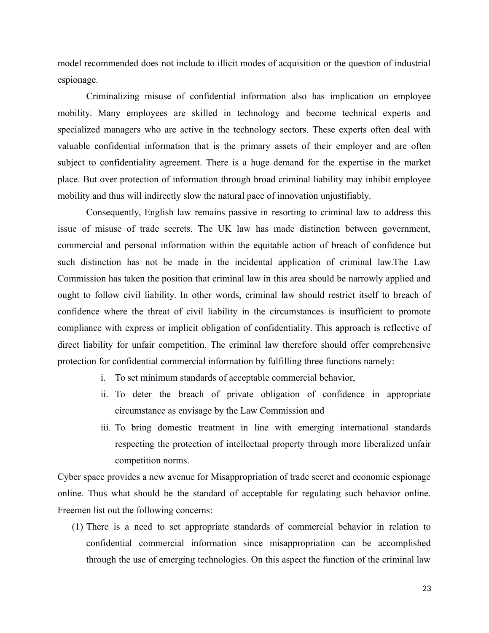model recommended does not include to illicit modes of acquisition or the question of industrial espionage.

Criminalizing misuse of confidential information also has implication on employee mobility. Many employees are skilled in technology and become technical experts and specialized managers who are active in the technology sectors. These experts often deal with valuable confidential information that is the primary assets of their employer and are often subject to confidentiality agreement. There is a huge demand for the expertise in the market place. But over protection of information through broad criminal liability may inhibit employee mobility and thus will indirectly slow the natural pace of innovation unjustifiably.

Consequently, English law remains passive in resorting to criminal law to address this issue of misuse of trade secrets. The UK law has made distinction between government, commercial and personal information within the equitable action of breach of confidence but such distinction has not be made in the incidental application of criminal law.The Law Commission has taken the position that criminal law in this area should be narrowly applied and ought to follow civil liability. In other words, criminal law should restrict itself to breach of confidence where the threat of civil liability in the circumstances is insufficient to promote compliance with express or implicit obligation of confidentiality. This approach is reflective of direct liability for unfair competition. The criminal law therefore should offer comprehensive protection for confidential commercial information by fulfilling three functions namely:

- i. To set minimum standards of acceptable commercial behavior,
- ii. To deter the breach of private obligation of confidence in appropriate circumstance as envisage by the Law Commission and
- iii. To bring domestic treatment in line with emerging international standards respecting the protection of intellectual property through more liberalized unfair competition norms.

Cyber space provides a new avenue for Misappropriation of trade secret and economic espionage online. Thus what should be the standard of acceptable for regulating such behavior online. Freemen list out the following concerns:

(1) There is a need to set appropriate standards of commercial behavior in relation to confidential commercial information since misappropriation can be accomplished through the use of emerging technologies. On this aspect the function of the criminal law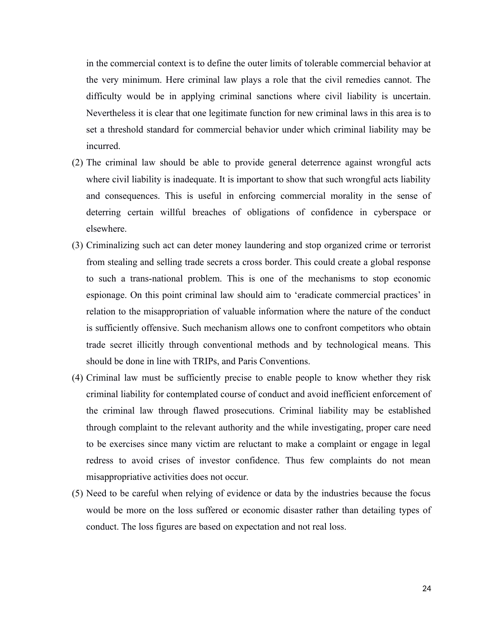in the commercial context is to define the outer limits of tolerable commercial behavior at the very minimum. Here criminal law plays a role that the civil remedies cannot. The difficulty would be in applying criminal sanctions where civil liability is uncertain. Nevertheless it is clear that one legitimate function for new criminal laws in this area is to set a threshold standard for commercial behavior under which criminal liability may be incurred.

- (2) The criminal law should be able to provide general deterrence against wrongful acts where civil liability is inadequate. It is important to show that such wrongful acts liability and consequences. This is useful in enforcing commercial morality in the sense of deterring certain willful breaches of obligations of confidence in cyberspace or elsewhere.
- (3) Criminalizing such act can deter money laundering and stop organized crime or terrorist from stealing and selling trade secrets a cross border. This could create a global response to such a trans-national problem. This is one of the mechanisms to stop economic espionage. On this point criminal law should aim to 'eradicate commercial practices' in relation to the misappropriation of valuable information where the nature of the conduct is sufficiently offensive. Such mechanism allows one to confront competitors who obtain trade secret illicitly through conventional methods and by technological means. This should be done in line with TRIPs, and Paris Conventions.
- (4) Criminal law must be sufficiently precise to enable people to know whether they risk criminal liability for contemplated course of conduct and avoid inefficient enforcement of the criminal law through flawed prosecutions. Criminal liability may be established through complaint to the relevant authority and the while investigating, proper care need to be exercises since many victim are reluctant to make a complaint or engage in legal redress to avoid crises of investor confidence. Thus few complaints do not mean misappropriative activities does not occur.
- (5) Need to be careful when relying of evidence or data by the industries because the focus would be more on the loss suffered or economic disaster rather than detailing types of conduct. The loss figures are based on expectation and not real loss.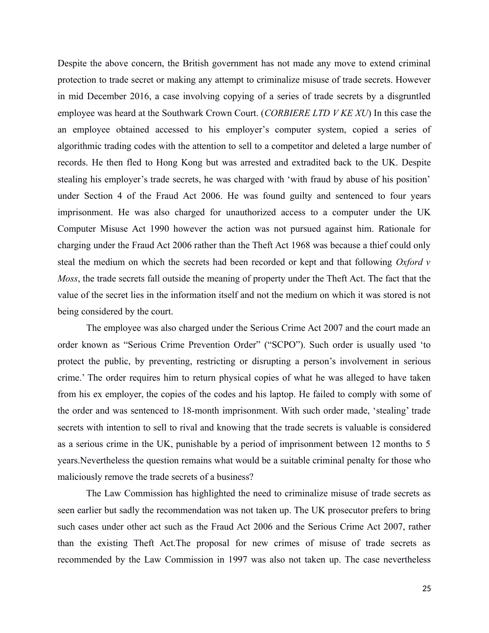Despite the above concern, the British government has not made any move to extend criminal protection to trade secret or making any attempt to criminalize misuse of trade secrets. However in mid December 2016, a case involving copying of a series of trade secrets by a disgruntled employee was heard at the Southwark Crown Court. (*CORBIERE LTD V KE XU*) In this case the an employee obtained accessed to his employer's computer system, copied a series of algorithmic trading codes with the attention to sell to a competitor and deleted a large number of records. He then fled to Hong Kong but was arrested and extradited back to the UK. Despite stealing his employer's trade secrets, he was charged with 'with fraud by abuse of his position' under Section 4 of the Fraud Act 2006. He was found guilty and sentenced to four years imprisonment. He was also charged for unauthorized access to a computer under the UK Computer Misuse Act 1990 however the action was not pursued against him. Rationale for charging under the Fraud Act 2006 rather than the Theft Act 1968 was because a thief could only steal the medium on which the secrets had been recorded or kept and that following *Oxford v Moss*, the trade secrets fall outside the meaning of property under the Theft Act. The fact that the value of the secret lies in the information itself and not the medium on which it was stored is not being considered by the court.

The employee was also charged under the Serious Crime Act 2007 and the court made an order known as "Serious Crime Prevention Order" ("SCPO"). Such order is usually used 'to protect the public, by preventing, restricting or disrupting a person's involvement in serious crime.' The order requires him to return physical copies of what he was alleged to have taken from his ex employer, the copies of the codes and his laptop. He failed to comply with some of the order and was sentenced to 18-month imprisonment. With such order made, 'stealing' trade secrets with intention to sell to rival and knowing that the trade secrets is valuable is considered as a serious crime in the UK, punishable by a period of imprisonment between 12 months to 5 years.Nevertheless the question remains what would be a suitable criminal penalty for those who maliciously remove the trade secrets of a business?

The Law Commission has highlighted the need to criminalize misuse of trade secrets as seen earlier but sadly the recommendation was not taken up. The UK prosecutor prefers to bring such cases under other act such as the Fraud Act 2006 and the Serious Crime Act 2007, rather than the existing Theft Act.The proposal for new crimes of misuse of trade secrets as recommended by the Law Commission in 1997 was also not taken up. The case nevertheless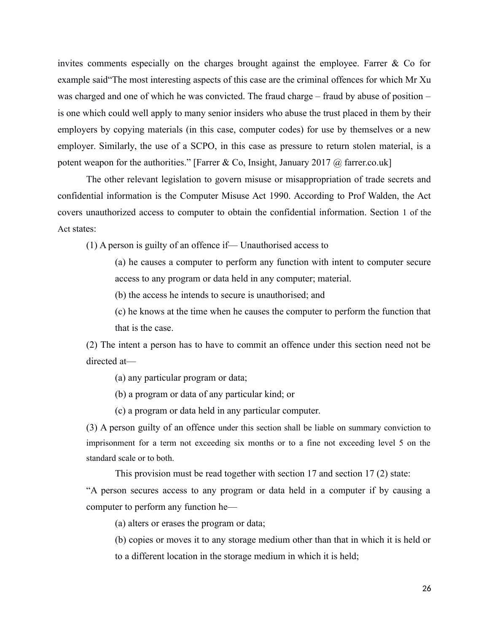invites comments especially on the charges brought against the employee. Farrer & Co for example said"The most interesting aspects of this case are the criminal offences for which Mr Xu was charged and one of which he was convicted. The fraud charge – fraud by abuse of position – is one which could well apply to many senior insiders who abuse the trust placed in them by their employers by copying materials (in this case, computer codes) for use by themselves or a new employer. Similarly, the use of a SCPO, in this case as pressure to return stolen material, is a potent weapon for the authorities." [Farrer & Co, Insight, January 2017  $\omega$  farrer.co.uk]

The other relevant legislation to govern misuse or misappropriation of trade secrets and confidential information is the Computer Misuse Act 1990. According to Prof Walden, the Act covers unauthorized access to computer to obtain the confidential information. Section 1 of the Act states:

(1) A person is guilty of an offence if— Unauthorised access to

(a) he causes a computer to perform any function with intent to computer secure access to any program or data held in any computer; material.

(b) the access he intends to secure is unauthorised; and

(c) he knows at the time when he causes the computer to perform the function that that is the case.

(2) The intent a person has to have to commit an offence under this section need not be directed at—

(a) any particular program or data;

(b) a program or data of any particular kind; or

(c) a program or data held in any particular computer.

(3) A person guilty of an offence under this section shall be liable on summary conviction to imprisonment for a term not exceeding six months or to a fine not exceeding level 5 on the standard scale or to both.

This provision must be read together with section 17 and section 17 (2) state:

"A person secures access to any program or data held in a computer if by causing a computer to perform any function he—

(a) alters or erases the program or data;

(b) copies or moves it to any storage medium other than that in which it is held or to a different location in the storage medium in which it is held;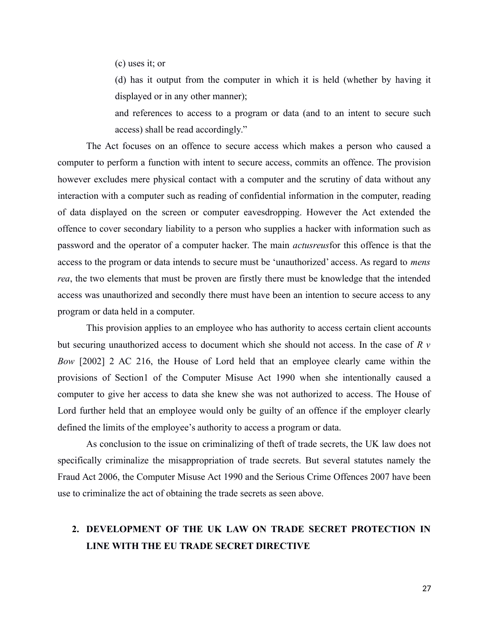(c) uses it; or

(d) has it output from the computer in which it is held (whether by having it displayed or in any other manner);

and references to access to a program or data (and to an intent to secure such access) shall be read accordingly."

The Act focuses on an offence to secure access which makes a person who caused a computer to perform a function with intent to secure access, commits an offence. The provision however excludes mere physical contact with a computer and the scrutiny of data without any interaction with a computer such as reading of confidential information in the computer, reading of data displayed on the screen or computer eavesdropping. However the Act extended the offence to cover secondary liability to a person who supplies a hacker with information such as password and the operator of a computer hacker. The main *actusreus*for this offence is that the access to the program or data intends to secure must be 'unauthorized' access. As regard to *mens rea*, the two elements that must be proven are firstly there must be knowledge that the intended access was unauthorized and secondly there must have been an intention to secure access to any program or data held in a computer.

This provision applies to an employee who has authority to access certain client accounts but securing unauthorized access to document which she should not access. In the case of *R v Bow* [2002] 2 AC 216, the House of Lord held that an employee clearly came within the provisions of Section1 of the Computer Misuse Act 1990 when she intentionally caused a computer to give her access to data she knew she was not authorized to access. The House of Lord further held that an employee would only be guilty of an offence if the employer clearly defined the limits of the employee's authority to access a program or data.

As conclusion to the issue on criminalizing of theft of trade secrets, the UK law does not specifically criminalize the misappropriation of trade secrets. But several statutes namely the Fraud Act 2006, the Computer Misuse Act 1990 and the Serious Crime Offences 2007 have been use to criminalize the act of obtaining the trade secrets as seen above.

# **2. DEVELOPMENT OF THE UK LAW ON TRADE SECRET PROTECTION IN LINE WITH THE EU TRADE SECRET DIRECTIVE**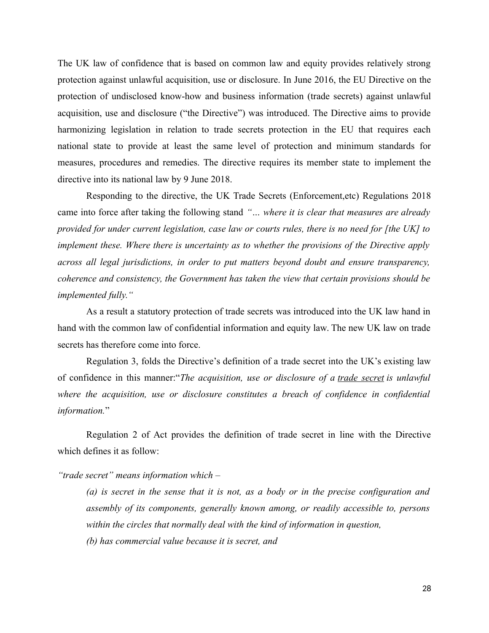The UK law of confidence that is based on common law and equity provides relatively strong protection against unlawful acquisition, use or disclosure. In June 2016, the EU Directive on the protection of undisclosed know-how and business information (trade secrets) against unlawful acquisition, use and disclosure ("the Directive") was introduced. The Directive aims to provide harmonizing legislation in relation to trade secrets protection in the EU that requires each national state to provide at least the same level of protection and minimum standards for measures, procedures and remedies. The directive requires its member state to implement the directive into its national law by 9 June 2018.

Responding to the directive, the UK Trade Secrets (Enforcement,etc) Regulations 2018 came into force after taking the following stand *"… where it is clear that measures are already provided for under current legislation, case law or courts rules, there is no need for [the UK] to implement these. Where there is uncertainty as to whether the provisions of the Directive apply across all legal jurisdictions, in order to put matters beyond doubt and ensure transparency, coherence and consistency, the Government has taken the view that certain provisions should be implemented fully."*

As a result a statutory protection of trade secrets was introduced into the UK law hand in hand with the common law of confidential information and equity law. The new UK law on trade secrets has therefore come into force.

Regulation 3, folds the Directive's definition of a trade secret into the UK's existing law of confidence in this manner:"*The acquisition, use or disclosure of a trade secret is unlawful where the acquisition, use or disclosure constitutes a breach of confidence in confidential information.*"

Regulation 2 of Act provides the definition of trade secret in line with the Directive which defines it as follow:

*"trade secret" means information which –*

*(a) is secret in the sense that it is not, as a body or in the precise configuration and assembly of its components, generally known among, or readily accessible to, persons within the circles that normally deal with the kind of information in question, (b) has commercial value because it is secret, and*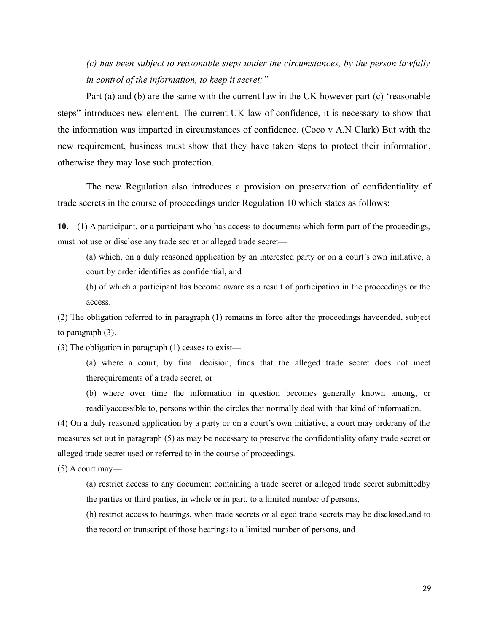*(c) has been subject to reasonable steps under the circumstances, by the person lawfully in control of the information, to keep it secret;"*

Part (a) and (b) are the same with the current law in the UK however part (c) 'reasonable steps" introduces new element. The current UK law of confidence, it is necessary to show that the information was imparted in circumstances of confidence. (Coco v A.N Clark) But with the new requirement, business must show that they have taken steps to protect their information, otherwise they may lose such protection.

The new Regulation also introduces a provision on preservation of confidentiality of trade secrets in the course of proceedings under Regulation 10 which states as follows:

**10.**—(1) A participant, or a participant who has access to documents which form part of the proceedings, must not use or disclose any trade secret or alleged trade secret—

(a) which, on a duly reasoned application by an interested party or on a court's own initiative, a court by order identifies as confidential, and

(b) of which a participant has become aware as a result of participation in the proceedings or the access.

(2) The obligation referred to in paragraph (1) remains in force after the proceedings haveended, subject to paragraph (3).

(3) The obligation in paragraph (1) ceases to exist—

(a) where a court, by final decision, finds that the alleged trade secret does not meet therequirements of a trade secret, or

(b) where over time the information in question becomes generally known among, or readilyaccessible to, persons within the circles that normally deal with that kind of information.

(4) On a duly reasoned application by a party or on a court's own initiative, a court may orderany of the measures set out in paragraph (5) as may be necessary to preserve the confidentiality ofany trade secret or alleged trade secret used or referred to in the course of proceedings.

 $(5)$  A court may—

(a) restrict access to any document containing a trade secret or alleged trade secret submittedby the parties or third parties, in whole or in part, to a limited number of persons,

(b) restrict access to hearings, when trade secrets or alleged trade secrets may be disclosed,and to the record or transcript of those hearings to a limited number of persons, and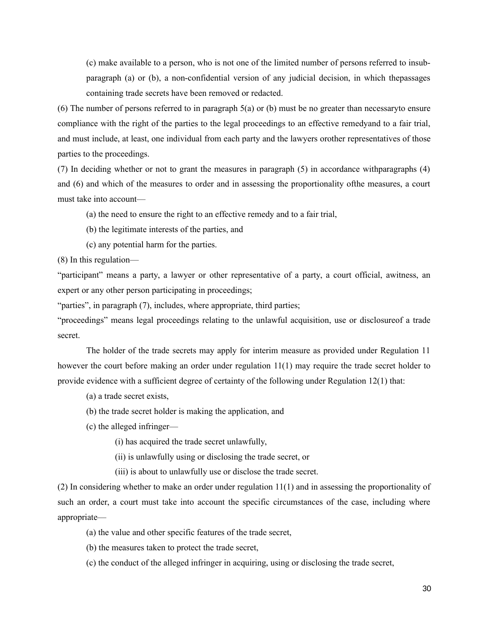(c) make available to a person, who is not one of the limited number of persons referred to insubparagraph (a) or (b), a non-confidential version of any judicial decision, in which thepassages containing trade secrets have been removed or redacted.

(6) The number of persons referred to in paragraph 5(a) or (b) must be no greater than necessaryto ensure compliance with the right of the parties to the legal proceedings to an effective remedyand to a fair trial, and must include, at least, one individual from each party and the lawyers orother representatives of those parties to the proceedings.

(7) In deciding whether or not to grant the measures in paragraph (5) in accordance withparagraphs (4) and (6) and which of the measures to order and in assessing the proportionality ofthe measures, a court must take into account—

(a) the need to ensure the right to an effective remedy and to a fair trial,

(b) the legitimate interests of the parties, and

(c) any potential harm for the parties.

(8) In this regulation—

"participant" means a party, a lawyer or other representative of a party, a court official, awitness, an expert or any other person participating in proceedings;

"parties", in paragraph (7), includes, where appropriate, third parties;

"proceedings" means legal proceedings relating to the unlawful acquisition, use or disclosureof a trade secret.

The holder of the trade secrets may apply for interim measure as provided under Regulation 11 however the court before making an order under regulation 11(1) may require the trade secret holder to provide evidence with a sufficient degree of certainty of the following under Regulation 12(1) that:

(a) a trade secret exists,

(b) the trade secret holder is making the application, and

(c) the alleged infringer—

(i) has acquired the trade secret unlawfully,

(ii) is unlawfully using or disclosing the trade secret, or

(iii) is about to unlawfully use or disclose the trade secret.

(2) In considering whether to make an order under regulation 11(1) and in assessing the proportionality of such an order, a court must take into account the specific circumstances of the case, including where appropriate—

(a) the value and other specific features of the trade secret,

(b) the measures taken to protect the trade secret,

(c) the conduct of the alleged infringer in acquiring, using or disclosing the trade secret,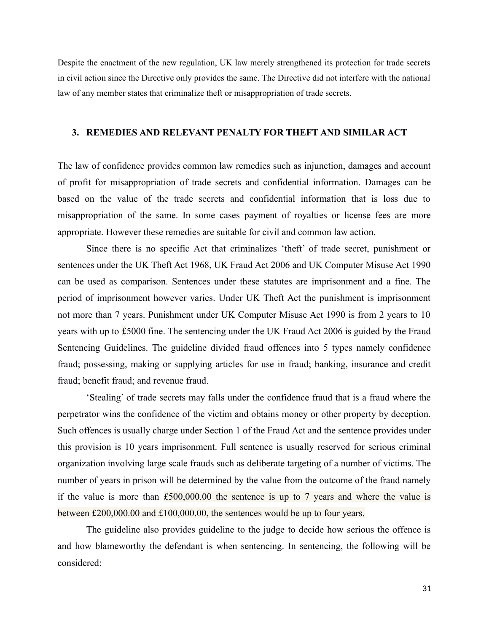Despite the enactment of the new regulation, UK law merely strengthened its protection for trade secrets in civil action since the Directive only provides the same. The Directive did not interfere with the national law of any member states that criminalize theft or misappropriation of trade secrets.

#### **3. REMEDIES AND RELEVANT PENALTY FOR THEFT AND SIMILAR ACT**

The law of confidence provides common law remedies such as injunction, damages and account of profit for misappropriation of trade secrets and confidential information. Damages can be based on the value of the trade secrets and confidential information that is loss due to misappropriation of the same. In some cases payment of royalties or license fees are more appropriate. However these remedies are suitable for civil and common law action.

Since there is no specific Act that criminalizes 'theft' of trade secret, punishment or sentences under the UK Theft Act 1968, UK Fraud Act 2006 and UK Computer Misuse Act 1990 can be used as comparison. Sentences under these statutes are imprisonment and a fine. The period of imprisonment however varies. Under UK Theft Act the punishment is imprisonment not more than 7 years. Punishment under UK Computer Misuse Act 1990 is from 2 years to 10 years with up to £5000 fine. The sentencing under the UK Fraud Act 2006 is guided by the Fraud Sentencing Guidelines. The guideline divided fraud offences into 5 types namely confidence fraud; possessing, making or supplying articles for use in fraud; banking, insurance and credit fraud; benefit fraud; and revenue fraud.

'Stealing' of trade secrets may falls under the confidence fraud that is a fraud where the perpetrator wins the confidence of the victim and obtains money or other property by deception. Such offences is usually charge under Section 1 of the Fraud Act and the sentence provides under this provision is 10 years imprisonment. Full sentence is usually reserved for serious criminal organization involving large scale frauds such as deliberate targeting of a number of victims. The number of years in prison will be determined by the value from the outcome of the fraud namely if the value is more than  $£500,000.00$  the sentence is up to 7 years and where the value is between £200,000.00 and £100,000.00, the sentences would be up to four years.

The guideline also provides guideline to the judge to decide how serious the offence is and how blameworthy the defendant is when sentencing. In sentencing, the following will be considered: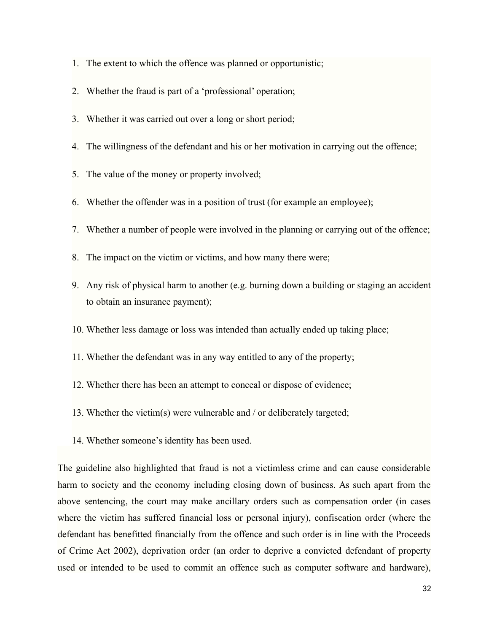- 1. The extent to which the offence was planned or opportunistic;
- 2. Whether the fraud is part of a 'professional' operation;
- 3. Whether it was carried out over a long or short period;
- 4. The willingness of the defendant and his or her motivation in carrying out the offence;
- 5. The value of the money or property involved;
- 6. Whether the offender was in a position of trust (for example an employee);
- 7. Whether a number of people were involved in the planning or carrying out of the offence;
- 8. The impact on the victim or victims, and how many there were;
- 9. Any risk of physical harm to another (e.g. burning down a building or staging an accident to obtain an insurance payment);
- 10. Whether less damage or loss was intended than actually ended up taking place;
- 11. Whether the defendant was in any way entitled to any of the property;
- 12. Whether there has been an attempt to conceal or dispose of evidence;
- 13. Whether the victim(s) were vulnerable and / or deliberately targeted;
- 14. Whether someone's identity has been used.

The guideline also highlighted that fraud is not a victimless crime and can cause considerable harm to society and the economy including closing down of business. As such apart from the above sentencing, the court may make ancillary orders such as compensation order (in cases where the victim has suffered financial loss or personal injury), confiscation order (where the defendant has benefitted financially from the offence and such order is in line with the Proceeds of Crime Act 2002), deprivation order (an order to deprive a convicted defendant of property used or intended to be used to commit an offence such as computer software and hardware),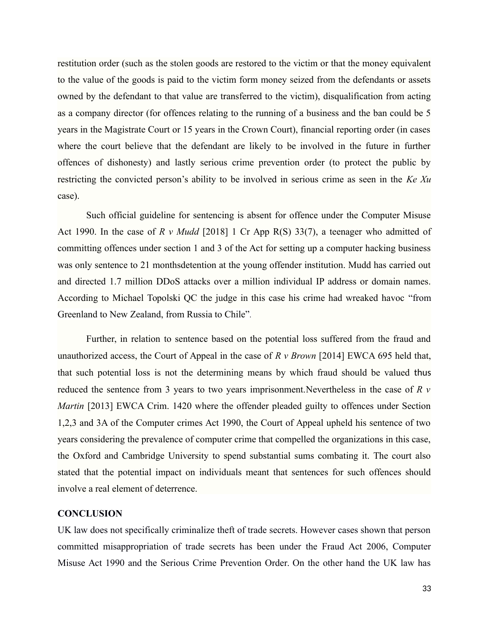restitution order (such as the stolen goods are restored to the victim or that the money equivalent to the value of the goods is paid to the victim form money seized from the defendants or assets owned by the defendant to that value are transferred to the victim), disqualification from acting as a company director (for offences relating to the running of a business and the ban could be 5 years in the Magistrate Court or 15 years in the Crown Court), financial reporting order (in cases where the court believe that the defendant are likely to be involved in the future in further offences of dishonesty) and lastly serious crime prevention order (to protect the public by restricting the convicted person's ability to be involved in serious crime as seen in the *Ke Xu* case).

Such official guideline for sentencing is absent for offence under the Computer Misuse Act 1990. In the case of *R v Mudd* [2018] 1 Cr App R(S) 33(7), a teenager who admitted of committing offences under section 1 and 3 of the Act for setting up a computer hacking business was only sentence to 21 monthsdetention at the young offender institution. Mudd has carried out and directed 1.7 million DDoS attacks over a million individual IP address or domain names. According to Michael Topolski QC the judge in this case his crime had wreaked havoc "from Greenland to New Zealand, from Russia to Chile".

Further, in relation to sentence based on the potential loss suffered from the fraud and unauthorized access, the Court of Appeal in the case of *R v Brown* [2014] EWCA 695 held that, that such potential loss is not the determining means by which fraud should be valued thus reduced the sentence from 3 years to two years imprisonment.Nevertheless in the case of *R v Martin* [2013] EWCA Crim. 1420 where the offender pleaded guilty to offences under Section 1,2,3 and 3A of the Computer crimes Act 1990, the Court of Appeal upheld his sentence of two years considering the prevalence of computer crime that compelled the organizations in this case, the Oxford and Cambridge University to spend substantial sums combating it. The court also stated that the potential impact on individuals meant that sentences for such offences should involve a real element of deterrence.

# **CONCLUSION**

UK law does not specifically criminalize theft of trade secrets. However cases shown that person committed misappropriation of trade secrets has been under the Fraud Act 2006, Computer Misuse Act 1990 and the Serious Crime Prevention Order. On the other hand the UK law has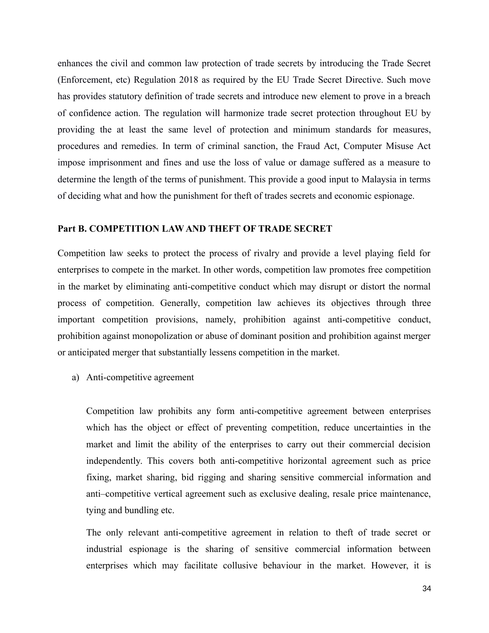enhances the civil and common law protection of trade secrets by introducing the Trade Secret (Enforcement, etc) Regulation 2018 as required by the EU Trade Secret Directive. Such move has provides statutory definition of trade secrets and introduce new element to prove in a breach of confidence action. The regulation will harmonize trade secret protection throughout EU by providing the at least the same level of protection and minimum standards for measures, procedures and remedies. In term of criminal sanction, the Fraud Act, Computer Misuse Act impose imprisonment and fines and use the loss of value or damage suffered as a measure to determine the length of the terms of punishment. This provide a good input to Malaysia in terms of deciding what and how the punishment for theft of trades secrets and economic espionage.

# **Part B. COMPETITION LAW AND THEFT OF TRADE SECRET**

Competition law seeks to protect the process of rivalry and provide a level playing field for enterprises to compete in the market. In other words, competition law promotes free competition in the market by eliminating anti-competitive conduct which may disrupt or distort the normal process of competition. Generally, competition law achieves its objectives through three important competition provisions, namely, prohibition against anti-competitive conduct, prohibition against monopolization or abuse of dominant position and prohibition against merger or anticipated merger that substantially lessens competition in the market.

a) Anti-competitive agreement

Competition law prohibits any form anti-competitive agreement between enterprises which has the object or effect of preventing competition, reduce uncertainties in the market and limit the ability of the enterprises to carry out their commercial decision independently. This covers both anti-competitive horizontal agreement such as price fixing, market sharing, bid rigging and sharing sensitive commercial information and anti–competitive vertical agreement such as exclusive dealing, resale price maintenance, tying and bundling etc.

The only relevant anti-competitive agreement in relation to theft of trade secret or industrial espionage is the sharing of sensitive commercial information between enterprises which may facilitate collusive behaviour in the market. However, it is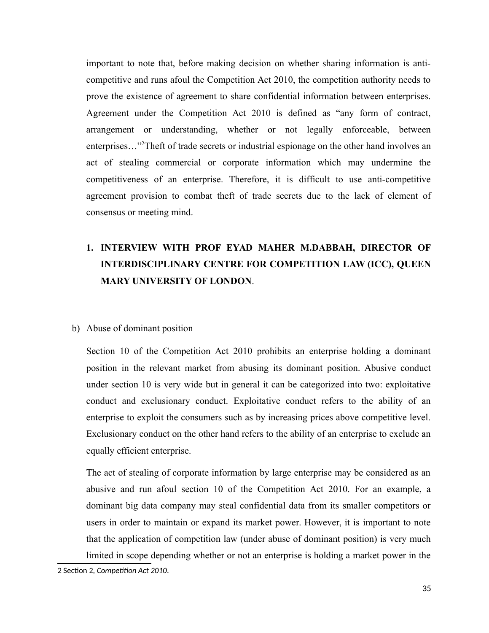important to note that, before making decision on whether sharing information is anticompetitive and runs afoul the Competition Act 2010, the competition authority needs to prove the existence of agreement to share confidential information between enterprises. Agreement under the Competition Act 2010 is defined as "any form of contract, arrangement or understanding, whether or not legally enforceable, between enterprises..."<sup>[2](#page-34-0)</sup>Theft of trade secrets or industrial espionage on the other hand involves an act of stealing commercial or corporate information which may undermine the competitiveness of an enterprise. Therefore, it is difficult to use anti-competitive agreement provision to combat theft of trade secrets due to the lack of element of consensus or meeting mind.

# **1. INTERVIEW WITH PROF EYAD MAHER M.DABBAH, DIRECTOR OF INTERDISCIPLINARY CENTRE FOR COMPETITION LAW (ICC), QUEEN MARY UNIVERSITY OF LONDON**.

## b) Abuse of dominant position

Section 10 of the Competition Act 2010 prohibits an enterprise holding a dominant position in the relevant market from abusing its dominant position. Abusive conduct under section 10 is very wide but in general it can be categorized into two: exploitative conduct and exclusionary conduct. Exploitative conduct refers to the ability of an enterprise to exploit the consumers such as by increasing prices above competitive level. Exclusionary conduct on the other hand refers to the ability of an enterprise to exclude an equally efficient enterprise.

The act of stealing of corporate information by large enterprise may be considered as an abusive and run afoul section 10 of the Competition Act 2010. For an example, a dominant big data company may steal confidential data from its smaller competitors or users in order to maintain or expand its market power. However, it is important to note that the application of competition law (under abuse of dominant position) is very much limited in scope depending whether or not an enterprise is holding a market power in the

<span id="page-34-0"></span><sup>2</sup> Section 2, *Competition Act 2010*.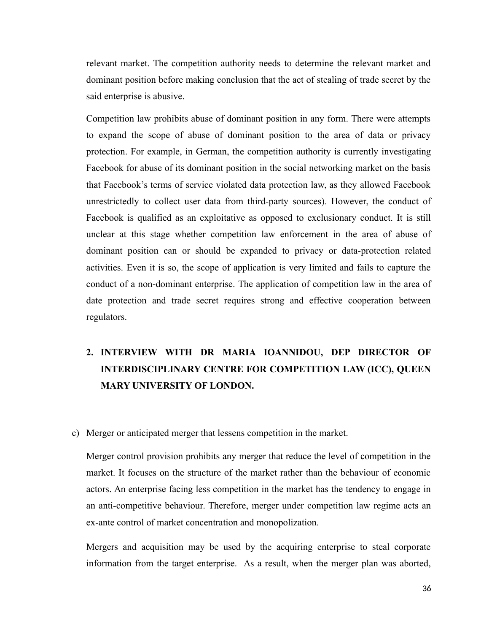relevant market. The competition authority needs to determine the relevant market and dominant position before making conclusion that the act of stealing of trade secret by the said enterprise is abusive.

Competition law prohibits abuse of dominant position in any form. There were attempts to expand the scope of abuse of dominant position to the area of data or privacy protection. For example, in German, the competition authority is currently investigating Facebook for abuse of its dominant position in the social networking market on the basis that Facebook's terms of service violated data protection law, as they allowed Facebook unrestrictedly to collect user data from third-party sources). However, the conduct of Facebook is qualified as an exploitative as opposed to exclusionary conduct. It is still unclear at this stage whether competition law enforcement in the area of abuse of dominant position can or should be expanded to privacy or data-protection related activities. Even it is so, the scope of application is very limited and fails to capture the conduct of a non-dominant enterprise. The application of competition law in the area of date protection and trade secret requires strong and effective cooperation between regulators.

# **2. INTERVIEW WITH DR MARIA IOANNIDOU, DEP DIRECTOR OF INTERDISCIPLINARY CENTRE FOR COMPETITION LAW (ICC), QUEEN MARY UNIVERSITY OF LONDON.**

c) Merger or anticipated merger that lessens competition in the market.

Merger control provision prohibits any merger that reduce the level of competition in the market. It focuses on the structure of the market rather than the behaviour of economic actors. An enterprise facing less competition in the market has the tendency to engage in an anti-competitive behaviour. Therefore, merger under competition law regime acts an ex-ante control of market concentration and monopolization.

Mergers and acquisition may be used by the acquiring enterprise to steal corporate information from the target enterprise. As a result, when the merger plan was aborted,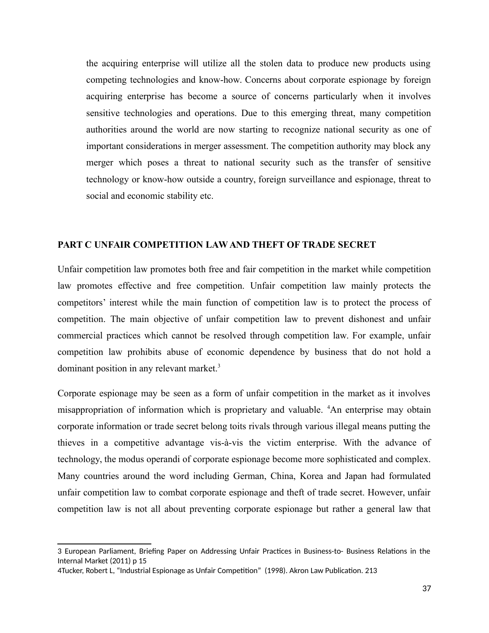the acquiring enterprise will utilize all the stolen data to produce new products using competing technologies and know-how. Concerns about corporate espionage by foreign acquiring enterprise has become a source of concerns particularly when it involves sensitive technologies and operations. Due to this emerging threat, many competition authorities around the world are now starting to recognize national security as one of important considerations in merger assessment. The competition authority may block any merger which poses a threat to national security such as the transfer of sensitive technology or know-how outside a country, foreign surveillance and espionage, threat to social and economic stability etc.

#### **PART C UNFAIR COMPETITION LAW AND THEFT OF TRADE SECRET**

Unfair competition law promotes both free and fair competition in the market while competition law promotes effective and free competition. Unfair competition law mainly protects the competitors' interest while the main function of competition law is to protect the process of competition. The main objective of unfair competition law to prevent dishonest and unfair commercial practices which cannot be resolved through competition law. For example, unfair competition law prohibits abuse of economic dependence by business that do not hold a dominant position in any relevant market.<sup>[3](#page-36-0)</sup>

Corporate espionage may be seen as a form of unfair competition in the market as it involves misappropriation of information which is proprietary and valuable.<sup>4</sup>An enterprise may obtain corporate information or trade secret belong toits rivals through various illegal means putting the thieves in a competitive advantage vis-à-vis the victim enterprise. With the advance of technology, the modus operandi of corporate espionage become more sophisticated and complex. Many countries around the word including German, China, Korea and Japan had formulated unfair competition law to combat corporate espionage and theft of trade secret. However, unfair competition law is not all about preventing corporate espionage but rather a general law that

<span id="page-36-0"></span><sup>3</sup> European Parliament, Briefing Paper on Addressing Unfair Practices in Business-to- Business Relations in the Internal Market (2011) p 15

<span id="page-36-1"></span><sup>4</sup>Tucker, Robert L, "Industrial Espionage as Unfair Competition" (1998). Akron Law Publication. 213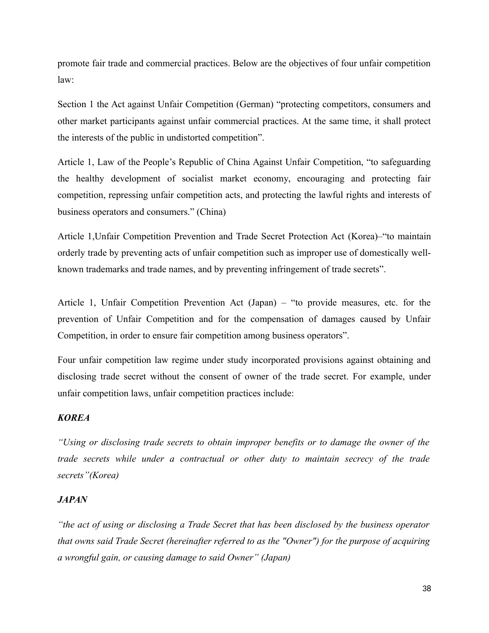promote fair trade and commercial practices. Below are the objectives of four unfair competition law:

Section 1 the Act against Unfair Competition (German) "protecting competitors, consumers and other market participants against unfair commercial practices. At the same time, it shall protect the interests of the public in undistorted competition".

Article 1, Law of the People's Republic of China Against Unfair Competition, "to safeguarding the healthy development of socialist market economy, encouraging and protecting fair competition, repressing unfair competition acts, and protecting the lawful rights and interests of business operators and consumers." (China)

Article 1,Unfair Competition Prevention and Trade Secret Protection Act (Korea)–"to maintain orderly trade by preventing acts of unfair competition such as improper use of domestically wellknown trademarks and trade names, and by preventing infringement of trade secrets".

Article 1, Unfair Competition Prevention Act (Japan) – "to provide measures, etc. for the prevention of Unfair Competition and for the compensation of damages caused by Unfair Competition, in order to ensure fair competition among business operators".

Four unfair competition law regime under study incorporated provisions against obtaining and disclosing trade secret without the consent of owner of the trade secret. For example, under unfair competition laws, unfair competition practices include:

# *KOREA*

*"Using or disclosing trade secrets to obtain improper benefits or to damage the owner of the trade secrets while under a contractual or other duty to maintain secrecy of the trade secrets"(Korea)*

#### *JAPAN*

*"the act of using or disclosing a Trade Secret that has been disclosed by the business operator that owns said Trade Secret (hereinafter referred to as the "Owner") for the purpose of acquiring a wrongful gain, or causing damage to said Owner" (Japan)*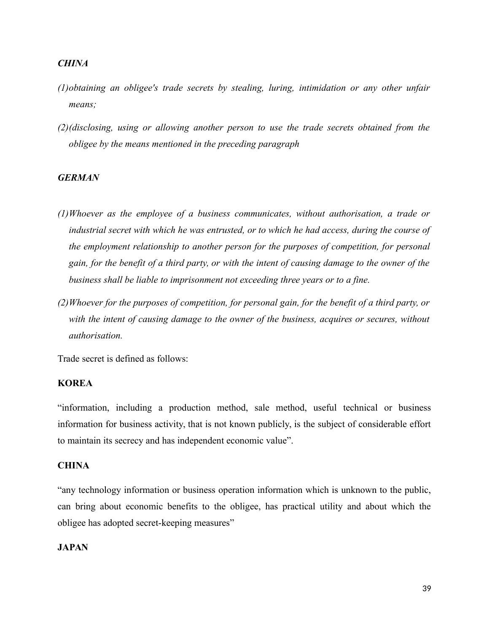# *CHINA*

- *(1)obtaining an obligee's trade secrets by stealing, luring, intimidation or any other unfair means;*
- *(2)(disclosing, using or allowing another person to use the trade secrets obtained from the obligee by the means mentioned in the preceding paragraph*

# *GERMAN*

- *(1)Whoever as the employee of a business communicates, without authorisation, a trade or industrial secret with which he was entrusted, or to which he had access, during the course of the employment relationship to another person for the purposes of competition, for personal gain, for the benefit of a third party, or with the intent of causing damage to the owner of the business shall be liable to imprisonment not exceeding three years or to a fine.*
- *(2)Whoever for the purposes of competition, for personal gain, for the benefit of a third party, or with the intent of causing damage to the owner of the business, acquires or secures, without authorisation.*

Trade secret is defined as follows:

# **KOREA**

"information, including a production method, sale method, useful technical or business information for business activity, that is not known publicly, is the subject of considerable effort to maintain its secrecy and has independent economic value".

# **CHINA**

"any technology information or business operation information which is unknown to the public, can bring about economic benefits to the obligee, has practical utility and about which the obligee has adopted secret-keeping measures"

## **JAPAN**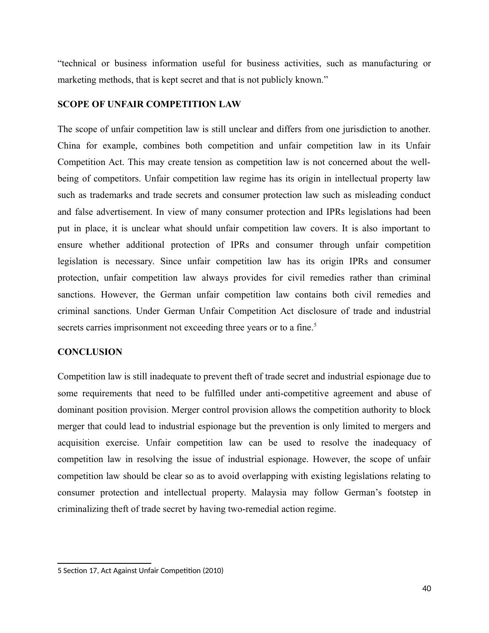"technical or business information useful for business activities, such as manufacturing or marketing methods, that is kept secret and that is not publicly known."

# **SCOPE OF UNFAIR COMPETITION LAW**

The scope of unfair competition law is still unclear and differs from one jurisdiction to another. China for example, combines both competition and unfair competition law in its Unfair Competition Act. This may create tension as competition law is not concerned about the wellbeing of competitors. Unfair competition law regime has its origin in intellectual property law such as trademarks and trade secrets and consumer protection law such as misleading conduct and false advertisement. In view of many consumer protection and IPRs legislations had been put in place, it is unclear what should unfair competition law covers. It is also important to ensure whether additional protection of IPRs and consumer through unfair competition legislation is necessary. Since unfair competition law has its origin IPRs and consumer protection, unfair competition law always provides for civil remedies rather than criminal sanctions. However, the German unfair competition law contains both civil remedies and criminal sanctions. Under German Unfair Competition Act disclosure of trade and industrial secrets carries imprisonment not exceeding three years or to a fine.<sup>[5](#page-39-0)</sup>

## **CONCLUSION**

Competition law is still inadequate to prevent theft of trade secret and industrial espionage due to some requirements that need to be fulfilled under anti-competitive agreement and abuse of dominant position provision. Merger control provision allows the competition authority to block merger that could lead to industrial espionage but the prevention is only limited to mergers and acquisition exercise. Unfair competition law can be used to resolve the inadequacy of competition law in resolving the issue of industrial espionage. However, the scope of unfair competition law should be clear so as to avoid overlapping with existing legislations relating to consumer protection and intellectual property. Malaysia may follow German's footstep in criminalizing theft of trade secret by having two-remedial action regime.

<span id="page-39-0"></span><sup>5</sup> Section 17, Act Against Unfair Competition (2010)